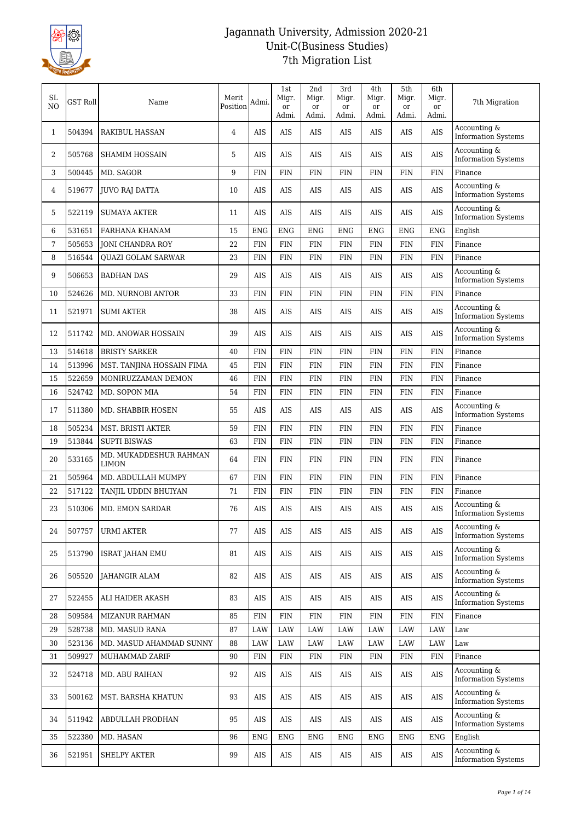

| SL<br>N <sub>O</sub> | <b>GST Roll</b> | Name                                   | Merit<br>Position | Admi.      | 1st<br>Migr.<br>or<br>Admi. | 2nd<br>Migr.<br>or<br>Admi. | 3rd<br>Migr.<br>or<br>Admi. | 4th<br>Migr.<br>or<br>Admi. | 5th<br>Migr.<br>or<br>Admi. | 6th<br>Migr.<br>or<br>Admi. | 7th Migration                              |
|----------------------|-----------------|----------------------------------------|-------------------|------------|-----------------------------|-----------------------------|-----------------------------|-----------------------------|-----------------------------|-----------------------------|--------------------------------------------|
| $\mathbf{1}$         | 504394          | <b>RAKIBUL HASSAN</b>                  | 4                 | <b>AIS</b> | AIS                         | AIS                         | <b>AIS</b>                  | <b>AIS</b>                  | <b>AIS</b>                  | AIS                         | Accounting &<br><b>Information Systems</b> |
| 2                    | 505768          | <b>SHAMIM HOSSAIN</b>                  | 5                 | <b>AIS</b> | AIS                         | AIS                         | <b>AIS</b>                  | <b>AIS</b>                  | AIS                         | AIS                         | Accounting &<br><b>Information Systems</b> |
| 3                    | 500445          | MD. SAGOR                              | 9                 | <b>FIN</b> | FIN                         | <b>FIN</b>                  | <b>FIN</b>                  | <b>FIN</b>                  | FIN                         | <b>FIN</b>                  | Finance                                    |
| 4                    | 519677          | <b>JUVO RAJ DATTA</b>                  | 10                | AIS        | AIS                         | AIS                         | AIS                         | AIS                         | AIS                         | AIS                         | Accounting &<br><b>Information Systems</b> |
| 5                    | 522119          | <b>SUMAYA AKTER</b>                    | 11                | <b>AIS</b> | AIS                         | AIS                         | <b>AIS</b>                  | AIS                         | AIS                         | AIS                         | Accounting &<br><b>Information Systems</b> |
| 6                    | 531651          | FARHANA KHANAM                         | 15                | <b>ENG</b> | <b>ENG</b>                  | <b>ENG</b>                  | <b>ENG</b>                  | <b>ENG</b>                  | <b>ENG</b>                  | <b>ENG</b>                  | English                                    |
| 7                    | 505653          | <b>JONI CHANDRA ROY</b>                | 22                | FIN        | FIN                         | <b>FIN</b>                  | <b>FIN</b>                  | <b>FIN</b>                  | FIN                         | <b>FIN</b>                  | Finance                                    |
| 8                    | 516544          | <b>OUAZI GOLAM SARWAR</b>              | 23                | <b>FIN</b> | <b>FIN</b>                  | <b>FIN</b>                  | <b>FIN</b>                  | <b>FIN</b>                  | <b>FIN</b>                  | <b>FIN</b>                  | Finance                                    |
| 9                    | 506653          | <b>BADHAN DAS</b>                      | 29                | AIS        | AIS                         | AIS                         | AIS                         | <b>AIS</b>                  | AIS                         | AIS                         | Accounting &<br><b>Information Systems</b> |
| 10                   | 524626          | MD. NURNOBI ANTOR                      | 33                | FIN        | FIN                         | <b>FIN</b>                  | <b>FIN</b>                  | FIN                         | FIN                         | FIN                         | Finance                                    |
| 11                   | 521971          | <b>SUMI AKTER</b>                      | 38                | AIS        | AIS                         | AIS                         | AIS                         | AIS                         | AIS                         | AIS                         | Accounting &<br><b>Information Systems</b> |
| 12                   | 511742          | MD. ANOWAR HOSSAIN                     | 39                | AIS        | AIS                         | <b>AIS</b>                  | <b>AIS</b>                  | <b>AIS</b>                  | AIS                         | AIS                         | Accounting &<br><b>Information Systems</b> |
| 13                   | 514618          | <b>BRISTY SARKER</b>                   | 40                | <b>FIN</b> | FIN                         | <b>FIN</b>                  | <b>FIN</b>                  | <b>FIN</b>                  | <b>FIN</b>                  | <b>FIN</b>                  | Finance                                    |
| 14                   | 513996          | MST. TANJINA HOSSAIN FIMA              | 45                | FIN        | FIN                         | <b>FIN</b>                  | <b>FIN</b>                  | <b>FIN</b>                  | FIN                         | <b>FIN</b>                  | Finance                                    |
| 15                   | 522659          | MONIRUZZAMAN DEMON                     | 46                | <b>FIN</b> | <b>FIN</b>                  | <b>FIN</b>                  | <b>FIN</b>                  | <b>FIN</b>                  | <b>FIN</b>                  | <b>FIN</b>                  | Finance                                    |
| 16                   | 524742          | MD. SOPON MIA                          | 54                | <b>FIN</b> | <b>FIN</b>                  | <b>FIN</b>                  | <b>FIN</b>                  | <b>FIN</b>                  | <b>FIN</b>                  | <b>FIN</b>                  | Finance                                    |
| 17                   | 511380          | MD. SHABBIR HOSEN                      | 55                | AIS        | <b>AIS</b>                  | AIS                         | <b>AIS</b>                  | <b>AIS</b>                  | <b>AIS</b>                  | AIS                         | Accounting &<br><b>Information Systems</b> |
| 18                   | 505234          | MST. BRISTI AKTER                      | 59                | <b>FIN</b> | FIN                         | <b>FIN</b>                  | <b>FIN</b>                  | <b>FIN</b>                  | FIN                         | <b>FIN</b>                  | Finance                                    |
| 19                   | 513844          | <b>SUPTI BISWAS</b>                    | 63                | <b>FIN</b> | <b>FIN</b>                  | <b>FIN</b>                  | <b>FIN</b>                  | <b>FIN</b>                  | FIN                         | FIN                         | Finance                                    |
| 20                   | 533165          | MD. MUKADDESHUR RAHMAN<br><b>LIMON</b> | 64                | FIN        | FIN                         | <b>FIN</b>                  | <b>FIN</b>                  | FIN                         | <b>FIN</b>                  | <b>FIN</b>                  | Finance                                    |
| 21                   | 505964          | MD. ABDULLAH MUMPY                     | 67                | <b>FIN</b> | <b>FIN</b>                  | <b>FIN</b>                  | <b>FIN</b>                  | <b>FIN</b>                  | <b>FIN</b>                  | <b>FIN</b>                  | Finance                                    |
| 22                   | 517122          | TANJIL UDDIN BHUIYAN                   | 71                | FIN        | FIN                         | FIN                         | FIN                         | FIN                         | FIN                         | <b>FIN</b>                  | Finance                                    |
| 23                   | 510306          | MD. EMON SARDAR                        | 76                | AIS        | AIS                         | AIS                         | AIS                         | AIS                         | AIS                         | AIS                         | Accounting &<br><b>Information Systems</b> |
| 24                   | 507757          | URMI AKTER                             | 77                | AIS        | AIS                         | AIS                         | AIS                         | AIS                         | AIS                         | AIS                         | Accounting &<br><b>Information Systems</b> |
| 25                   | 513790          | <b>ISRAT JAHAN EMU</b>                 | 81                | AIS        | AIS                         | AIS                         | AIS                         | AIS                         | AIS                         | $\rm{AIS}$                  | Accounting &<br><b>Information Systems</b> |
| 26                   | 505520          | JAHANGIR ALAM                          | 82                | AIS        | AIS                         | AIS                         | AIS                         | AIS                         | AIS                         | AIS                         | Accounting &<br><b>Information Systems</b> |
| 27                   | 522455          | ALI HAIDER AKASH                       | 83                | AIS        | AIS                         | AIS                         | AIS                         | AIS                         | AIS                         | $\rm{AIS}$                  | Accounting &<br><b>Information Systems</b> |
| 28                   | 509584          | <b>MIZANUR RAHMAN</b>                  | 85                | FIN        | FIN                         | FIN                         | <b>FIN</b>                  | <b>FIN</b>                  | FIN                         | <b>FIN</b>                  | Finance                                    |
| 29                   | 528738          | MD. MASUD RANA                         | 87                | LAW        | LAW                         | LAW                         | LAW                         | LAW                         | LAW                         | LAW                         | Law                                        |
| 30                   | 523136          | MD. MASUD AHAMMAD SUNNY                | 88                | LAW        | LAW                         | LAW                         | LAW                         | LAW                         | LAW                         | LAW                         | Law                                        |
| 31                   | 509927          | MUHAMMAD ZARIF                         | 90                | FIN        | ${\rm FIN}$                 | FIN                         | <b>FIN</b>                  | <b>FIN</b>                  | FIN                         | <b>FIN</b>                  | Finance                                    |
| 32                   | 524718          | MD. ABU RAIHAN                         | 92                | AIS        | AIS                         | AIS                         | AIS                         | AIS                         | AIS                         | $\rm{AIS}$                  | Accounting &<br><b>Information Systems</b> |
| 33                   | 500162          | MST. BARSHA KHATUN                     | 93                | AIS        | AIS                         | AIS                         | AIS                         | AIS                         | AIS                         | $\rm{AIS}$                  | Accounting &<br><b>Information Systems</b> |
| 34                   | 511942          | ABDULLAH PRODHAN                       | 95                | AIS        | AIS                         | AIS                         | AIS                         | AIS                         | AIS                         | AIS                         | Accounting &<br><b>Information Systems</b> |
| 35                   | 522380          | MD. HASAN                              | 96                | <b>ENG</b> | <b>ENG</b>                  | <b>ENG</b>                  | ENG                         | ENG                         | <b>ENG</b>                  | <b>ENG</b>                  | English                                    |
| 36                   | 521951          | <b>SHELPY AKTER</b>                    | 99                | AIS        | AIS                         | AIS                         | AIS                         | AIS                         | AIS                         | AIS                         | Accounting &<br><b>Information Systems</b> |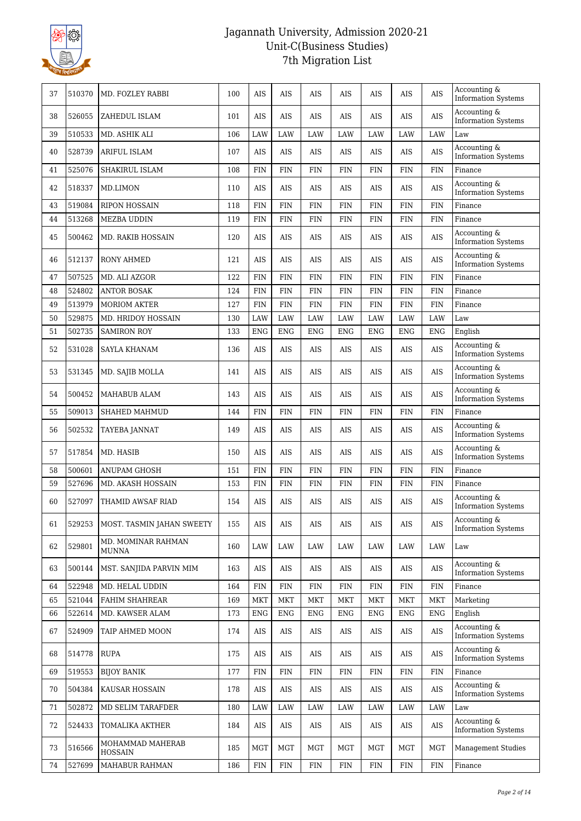

| 37 | 510370 | MD. FOZLEY RABBI                   | 100 | <b>AIS</b> | <b>AIS</b> | <b>AIS</b> | <b>AIS</b> | <b>AIS</b> | <b>AIS</b> | AIS         | Accounting &<br><b>Information Systems</b>    |
|----|--------|------------------------------------|-----|------------|------------|------------|------------|------------|------------|-------------|-----------------------------------------------|
| 38 | 526055 | ZAHEDUL ISLAM                      | 101 | AIS        | AIS        | AIS        | AIS        | AIS        | AIS        | AIS         | Accounting &<br><b>Information Systems</b>    |
| 39 | 510533 | MD. ASHIK ALI                      | 106 | LAW        | LAW        | LAW        | LAW        | LAW        | LAW        | LAW         | Law                                           |
| 40 | 528739 | ARIFUL ISLAM                       | 107 | <b>AIS</b> | <b>AIS</b> | AIS        | <b>AIS</b> | AIS        | <b>AIS</b> | AIS         | Accounting &<br><b>Information Systems</b>    |
| 41 | 525076 | SHAKIRUL ISLAM                     | 108 | <b>FIN</b> | <b>FIN</b> | <b>FIN</b> | <b>FIN</b> | <b>FIN</b> | <b>FIN</b> | <b>FIN</b>  | Finance                                       |
| 42 | 518337 | MD.LIMON                           | 110 | <b>AIS</b> | AIS        | AIS        | AIS        | AIS        | AIS        | AIS         | Accounting &<br><b>Information Systems</b>    |
| 43 | 519084 | <b>RIPON HOSSAIN</b>               | 118 | <b>FIN</b> | <b>FIN</b> | <b>FIN</b> | <b>FIN</b> | <b>FIN</b> | <b>FIN</b> | <b>FIN</b>  | Finance                                       |
| 44 | 513268 | MEZBA UDDIN                        | 119 | <b>FIN</b> | <b>FIN</b> | <b>FIN</b> | <b>FIN</b> | <b>FIN</b> | <b>FIN</b> | <b>FIN</b>  | Finance                                       |
| 45 | 500462 | <b>MD. RAKIB HOSSAIN</b>           | 120 | <b>AIS</b> | <b>AIS</b> | AIS        | <b>AIS</b> | <b>AIS</b> | <b>AIS</b> | $\rm{AIS}$  | Accounting &<br><b>Information Systems</b>    |
| 46 | 512137 | <b>RONY AHMED</b>                  | 121 | <b>AIS</b> | AIS        | AIS        | AIS        | AIS        | AIS        | AIS         | Accounting &<br><b>Information Systems</b>    |
| 47 | 507525 | MD. ALI AZGOR                      | 122 | <b>FIN</b> | <b>FIN</b> | <b>FIN</b> | <b>FIN</b> | <b>FIN</b> | <b>FIN</b> | <b>FIN</b>  | Finance                                       |
| 48 | 524802 | <b>ANTOR BOSAK</b>                 | 124 | <b>FIN</b> | <b>FIN</b> | <b>FIN</b> | <b>FIN</b> | <b>FIN</b> | <b>FIN</b> | ${\rm FIN}$ | Finance                                       |
| 49 | 513979 | <b>MORIOM AKTER</b>                | 127 | FIN        | <b>FIN</b> | <b>FIN</b> | FIN        | <b>FIN</b> | FIN        | <b>FIN</b>  | Finance                                       |
| 50 | 529875 | MD. HRIDOY HOSSAIN                 | 130 | LAW        | LAW        | LAW        | LAW        | LAW        | <b>LAW</b> | <b>LAW</b>  | Law                                           |
| 51 | 502735 | <b>SAMIRON ROY</b>                 | 133 | <b>ENG</b> | <b>ENG</b> | <b>ENG</b> | <b>ENG</b> | <b>ENG</b> | <b>ENG</b> | <b>ENG</b>  | English                                       |
| 52 | 531028 | SAYLA KHANAM                       | 136 | <b>AIS</b> | <b>AIS</b> | AIS        | <b>AIS</b> | <b>AIS</b> | AIS        | $\rm{AIS}$  | Accounting &<br><b>Information Systems</b>    |
| 53 | 531345 | MD. SAJIB MOLLA                    | 141 | <b>AIS</b> | AIS        | AIS        | AIS        | AIS        | AIS        | $\rm{AIS}$  | Accounting &<br><b>Information Systems</b>    |
| 54 | 500452 | MAHABUB ALAM                       | 143 | AIS        | AIS        | AIS        | AIS        | AIS        | AIS        | AIS         | Accounting &<br><b>Information Systems</b>    |
| 55 | 509013 | SHAHED MAHMUD                      | 144 | <b>FIN</b> | <b>FIN</b> | <b>FIN</b> | <b>FIN</b> | <b>FIN</b> | <b>FIN</b> | ${\rm FIN}$ | Finance                                       |
| 56 | 502532 | TAYEBA JANNAT                      | 149 | <b>AIS</b> | <b>AIS</b> | AIS        | AIS        | <b>AIS</b> | AIS        | $\rm{AIS}$  | Accounting &<br><b>Information Systems</b>    |
| 57 | 517854 | MD. HASIB                          | 150 | <b>AIS</b> | AIS        | AIS        | AIS        | AIS        | AIS        | AIS         | Accounting &<br><b>Information Systems</b>    |
| 58 | 500601 | <b>ANUPAM GHOSH</b>                | 151 | <b>FIN</b> | <b>FIN</b> | <b>FIN</b> | <b>FIN</b> | <b>FIN</b> | <b>FIN</b> | <b>FIN</b>  | Finance                                       |
| 59 | 527696 | MD. AKASH HOSSAIN                  | 153 | <b>FIN</b> | <b>FIN</b> | <b>FIN</b> | <b>FIN</b> | <b>FIN</b> | <b>FIN</b> | <b>FIN</b>  | Finance                                       |
| 60 | 527097 | THAMID AWSAF RIAD                  | 154 | <b>AIS</b> | <b>AIS</b> | AIS        | <b>AIS</b> | <b>AIS</b> | <b>AIS</b> | AIS         | Accounting &<br><b>Information Systems</b>    |
| 61 | 529253 | MOST. TASMIN JAHAN SWEETY          | 155 | AIS        | AIS        | AIS        | AIS        | AIS        | AIS        | AIS         | Accounting $\&$<br><b>Information Systems</b> |
| 62 | 529801 | MD. MOMINAR RAHMAN<br><b>MUNNA</b> | 160 | LAW        | LAW        | LAW        | LAW        | LAW        | LAW        | LAW         | Law                                           |
| 63 | 500144 | MST. SANJIDA PARVIN MIM            | 163 | AIS        | AIS        | AIS        | AIS        | AIS        | AIS        | AIS         | Accounting &<br><b>Information Systems</b>    |
| 64 | 522948 | MD. HELAL UDDIN                    | 164 | FIN        | <b>FIN</b> | FIN        | FIN        | <b>FIN</b> | <b>FIN</b> | ${\rm FIN}$ | Finance                                       |
| 65 | 521044 | FAHIM SHAHREAR                     | 169 | <b>MKT</b> | MKT        | <b>MKT</b> | <b>MKT</b> | MKT        | MKT        | <b>MKT</b>  | Marketing                                     |
| 66 | 522614 | MD. KAWSER ALAM                    | 173 | ENG        | <b>ENG</b> | <b>ENG</b> | <b>ENG</b> | ENG        | ENG        | <b>ENG</b>  | English                                       |
| 67 | 524909 | TAIP AHMED MOON                    | 174 | AIS        | AIS        | AIS        | AIS        | AIS        | AIS        | AIS         | Accounting &<br><b>Information Systems</b>    |
| 68 | 514778 | <b>RUPA</b>                        | 175 | AIS        | AIS        | AIS        | AIS        | AIS        | AIS        | AIS         | Accounting &<br><b>Information Systems</b>    |
| 69 | 519553 | <b>BIJOY BANIK</b>                 | 177 | FIN        | <b>FIN</b> | FIN        | FIN        | <b>FIN</b> | <b>FIN</b> | FIN         | Finance                                       |
| 70 | 504384 | KAUSAR HOSSAIN                     | 178 | AIS        | AIS        | AIS        | AIS        | AIS        | AIS        | AIS         | Accounting &<br><b>Information Systems</b>    |
| 71 | 502872 | MD SELIM TARAFDER                  | 180 | LAW        | LAW        | LAW        | LAW        | LAW        | LAW        | LAW         | Law                                           |
| 72 | 524433 | TOMALIKA AKTHER                    | 184 | AIS        | AIS        | AIS        | AIS        | AIS        | AIS        | AIS         | Accounting &<br><b>Information Systems</b>    |
| 73 | 516566 | MOHAMMAD MAHERAB<br><b>HOSSAIN</b> | 185 | MGT        | MGT        | MGT        | MGT        | MGT        | MGT        | MGT         | <b>Management Studies</b>                     |
| 74 | 527699 | <b>MAHABUR RAHMAN</b>              | 186 | FIN        | <b>FIN</b> | <b>FIN</b> | <b>FIN</b> | <b>FIN</b> | <b>FIN</b> | FIN         | Finance                                       |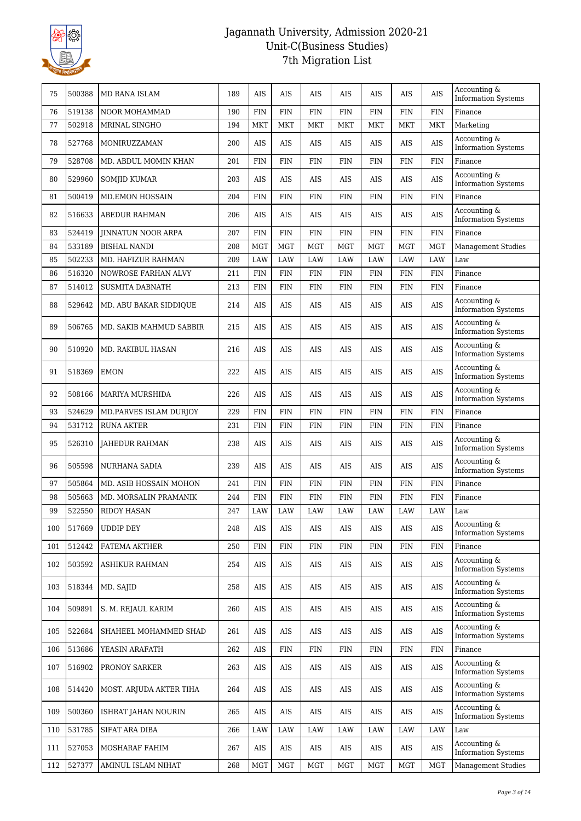

| 75  | 500388 | MD RANA ISLAM             | 189 | <b>AIS</b> | AIS        | <b>AIS</b> | <b>AIS</b> | AIS        | AIS        | <b>AIS</b>  | Accounting &<br><b>Information Systems</b> |
|-----|--------|---------------------------|-----|------------|------------|------------|------------|------------|------------|-------------|--------------------------------------------|
| 76  | 519138 | <b>NOOR MOHAMMAD</b>      | 190 | <b>FIN</b> | FIN        | <b>FIN</b> | <b>FIN</b> | FIN        | FIN        | <b>FIN</b>  | Finance                                    |
| 77  | 502918 | MRINAL SINGHO             | 194 | <b>MKT</b> | MKT        | <b>MKT</b> | <b>MKT</b> | MKT        | <b>MKT</b> | <b>MKT</b>  | Marketing                                  |
| 78  | 527768 | MONIRUZZAMAN              | 200 | AIS        | AIS        | <b>AIS</b> | AIS        | AIS        | AIS        | <b>AIS</b>  | Accounting &<br><b>Information Systems</b> |
| 79  | 528708 | MD. ABDUL MOMIN KHAN      | 201 | <b>FIN</b> | <b>FIN</b> | <b>FIN</b> | <b>FIN</b> | <b>FIN</b> | <b>FIN</b> | <b>FIN</b>  | Finance                                    |
| 80  | 529960 | <b>SOMJID KUMAR</b>       | 203 | AIS        | AIS        | <b>AIS</b> | AIS        | AIS        | AIS        | <b>AIS</b>  | Accounting &<br><b>Information Systems</b> |
| 81  | 500419 | <b>MD.EMON HOSSAIN</b>    | 204 | <b>FIN</b> | <b>FIN</b> | <b>FIN</b> | <b>FIN</b> | <b>FIN</b> | <b>FIN</b> | <b>FIN</b>  | Finance                                    |
| 82  | 516633 | <b>ABEDUR RAHMAN</b>      | 206 | <b>AIS</b> | <b>AIS</b> | AIS        | <b>AIS</b> | AIS        | AIS        | <b>AIS</b>  | Accounting &<br><b>Information Systems</b> |
| 83  | 524419 | <b>JINNATUN NOOR ARPA</b> | 207 | <b>FIN</b> | <b>FIN</b> | FIN        | <b>FIN</b> | <b>FIN</b> | <b>FIN</b> | <b>FIN</b>  | Finance                                    |
| 84  | 533189 | <b>BISHAL NANDI</b>       | 208 | <b>MGT</b> | <b>MGT</b> | <b>MGT</b> | <b>MGT</b> | MGT        | <b>MGT</b> | <b>MGT</b>  | <b>Management Studies</b>                  |
| 85  | 502233 | MD. HAFIZUR RAHMAN        | 209 | LAW        | LAW        | LAW        | LAW        | LAW        | <b>LAW</b> | LAW         | Law                                        |
| 86  | 516320 | NOWROSE FARHAN ALVY       | 211 | <b>FIN</b> | <b>FIN</b> | FIN        | <b>FIN</b> | <b>FIN</b> | <b>FIN</b> | <b>FIN</b>  | Finance                                    |
| 87  | 514012 | <b>SUSMITA DABNATH</b>    | 213 | <b>FIN</b> | FIN        | <b>FIN</b> | FIN        | FIN        | FIN        | FIN         | Finance                                    |
| 88  | 529642 | MD. ABU BAKAR SIDDIQUE    | 214 | AIS        | AIS        | AIS        | AIS        | AIS        | AIS        | <b>AIS</b>  | Accounting &<br><b>Information Systems</b> |
| 89  | 506765 | MD. SAKIB MAHMUD SABBIR   | 215 | <b>AIS</b> | <b>AIS</b> | AIS        | <b>AIS</b> | <b>AIS</b> | <b>AIS</b> | <b>AIS</b>  | Accounting &<br><b>Information Systems</b> |
| 90  | 510920 | MD. RAKIBUL HASAN         | 216 | <b>AIS</b> | AIS        | AIS        | AIS        | <b>AIS</b> | AIS        | $\rm{AIS}$  | Accounting &<br><b>Information Systems</b> |
| 91  | 518369 | <b>EMON</b>               | 222 | <b>AIS</b> | AIS        | AIS        | <b>AIS</b> | AIS        | AIS        | AIS         | Accounting &<br><b>Information Systems</b> |
| 92  | 508166 | MARIYA MURSHIDA           | 226 | AIS        | AIS        | AIS        | AIS        | AIS        | AIS        | <b>AIS</b>  | Accounting &<br><b>Information Systems</b> |
| 93  | 524629 | MD.PARVES ISLAM DURJOY    | 229 | <b>FIN</b> | <b>FIN</b> | <b>FIN</b> | <b>FIN</b> | <b>FIN</b> | <b>FIN</b> | <b>FIN</b>  | Finance                                    |
| 94  | 531712 | <b>RUNA AKTER</b>         | 231 | <b>FIN</b> | <b>FIN</b> | <b>FIN</b> | <b>FIN</b> | <b>FIN</b> | <b>FIN</b> | <b>FIN</b>  | Finance                                    |
| 95  | 526310 | <b>JAHEDUR RAHMAN</b>     | 238 | AIS        | AIS        | AIS        | <b>AIS</b> | AIS        | AIS        | AIS         | Accounting &<br><b>Information Systems</b> |
| 96  | 505598 | NURHANA SADIA             | 239 | AIS        | AIS        | AIS        | AIS        | AIS        | AIS        | AIS         | Accounting &<br><b>Information Systems</b> |
| 97  | 505864 | MD. ASIB HOSSAIN MOHON    | 241 | <b>FIN</b> | <b>FIN</b> | <b>FIN</b> | <b>FIN</b> | <b>FIN</b> | <b>FIN</b> | <b>FIN</b>  | Finance                                    |
| 98  | 505663 | MD. MORSALIN PRAMANIK     | 244 | <b>FIN</b> | <b>FIN</b> | <b>FIN</b> | <b>FIN</b> | <b>FIN</b> | FIN        | <b>FIN</b>  | Finance                                    |
| 99  | 522550 | <b>RIDOY HASAN</b>        | 247 | LAW        | LAW        | LAW        | LAW        | LAW        | LAW        | <b>LAW</b>  | Law                                        |
| 100 | 517669 | <b>UDDIP DEY</b>          | 248 | AIS        | AIS        | AIS        | AIS        | AIS        | AIS        | <b>AIS</b>  | Accounting &<br><b>Information Systems</b> |
| 101 | 512442 | FATEMA AKTHER             | 250 | FIN        | FIN        | <b>FIN</b> | <b>FIN</b> | FIN        | FIN        | FIN         | Finance                                    |
| 102 | 503592 | <b>ASHIKUR RAHMAN</b>     | 254 | AIS        | AIS        | AIS        | AIS        | AIS        | AIS        | $\rm{AIS}$  | Accounting &<br><b>Information Systems</b> |
| 103 | 518344 | MD. SAJID                 | 258 | AIS        | AIS        | AIS        | AIS        | AIS        | AIS        | $\rm{AIS}$  | Accounting &<br><b>Information Systems</b> |
| 104 | 509891 | S. M. REJAUL KARIM        | 260 | AIS        | AIS        | AIS        | AIS        | AIS        | AIS        | AIS         | Accounting &<br><b>Information Systems</b> |
| 105 | 522684 | SHAHEEL MOHAMMED SHAD     | 261 | AIS        | AIS        | AIS        | AIS        | AIS        | AIS        | $\rm{AIS}$  | Accounting &<br><b>Information Systems</b> |
| 106 | 513686 | YEASIN ARAFATH            | 262 | AIS        | FIN        | <b>FIN</b> | <b>FIN</b> | <b>FIN</b> | <b>FIN</b> | ${\rm FIN}$ | Finance                                    |
| 107 | 516902 | PRONOY SARKER             | 263 | AIS        | AIS        | AIS        | AIS        | AIS        | AIS        | AIS         | Accounting &<br><b>Information Systems</b> |
| 108 | 514420 | MOST. ARJUDA AKTER TIHA   | 264 | AIS        | AIS        | AIS        | AIS        | AIS        | AIS        | AIS         | Accounting &<br><b>Information Systems</b> |
| 109 | 500360 | ISHRAT JAHAN NOURIN       | 265 | AIS        | AIS        | AIS        | AIS        | AIS        | AIS        | $\rm{AIS}$  | Accounting &<br><b>Information Systems</b> |
| 110 | 531785 | SIFAT ARA DIBA            | 266 | LAW        | LAW        | LAW        | LAW        | LAW        | LAW        | <b>LAW</b>  | Law                                        |
| 111 | 527053 | MOSHARAF FAHIM            | 267 | AIS        | AIS        | AIS        | AIS        | AIS        | AIS        | AIS         | Accounting &<br><b>Information Systems</b> |
| 112 | 527377 | AMINUL ISLAM NIHAT        | 268 | <b>MGT</b> | <b>MGT</b> | <b>MGT</b> | MGT        | <b>MGT</b> | <b>MGT</b> | <b>MGT</b>  | <b>Management Studies</b>                  |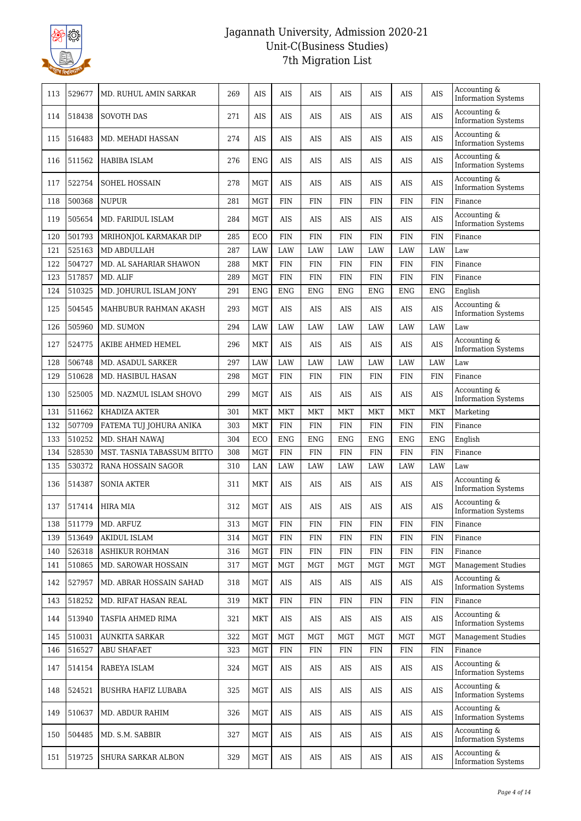

| 113 | 529677 | MD. RUHUL AMIN SARKAR      | 269 | <b>AIS</b> | AIS        | AIS         | <b>AIS</b> | AIS        | AIS        | AIS         | Accounting &<br><b>Information Systems</b> |
|-----|--------|----------------------------|-----|------------|------------|-------------|------------|------------|------------|-------------|--------------------------------------------|
| 114 | 518438 | <b>SOVOTH DAS</b>          | 271 | <b>AIS</b> | AIS        | AIS         | AIS        | AIS        | AIS        | AIS         | Accounting &<br><b>Information Systems</b> |
| 115 | 516483 | MD. MEHADI HASSAN          | 274 | AIS        | AIS        | AIS         | AIS        | AIS        | AIS        | <b>AIS</b>  | Accounting &<br><b>Information Systems</b> |
| 116 | 511562 | <b>HABIBA ISLAM</b>        | 276 | <b>ENG</b> | AIS        | <b>AIS</b>  | AIS        | <b>AIS</b> | <b>AIS</b> | <b>AIS</b>  | Accounting &<br><b>Information Systems</b> |
| 117 | 522754 | SOHEL HOSSAIN              | 278 | MGT        | AIS        | AIS         | AIS        | AIS        | AIS        | AIS         | Accounting &<br><b>Information Systems</b> |
| 118 | 500368 | <b>NUPUR</b>               | 281 | MGT        | <b>FIN</b> | FIN         | <b>FIN</b> | <b>FIN</b> | FIN        | <b>FIN</b>  | Finance                                    |
| 119 | 505654 | MD. FARIDUL ISLAM          | 284 | MGT        | AIS        | AIS         | AIS        | AIS        | AIS        | <b>AIS</b>  | Accounting &<br><b>Information Systems</b> |
| 120 | 501793 | MRIHONJOL KARMAKAR DIP     | 285 | ECO        | <b>FIN</b> | <b>FIN</b>  | <b>FIN</b> | <b>FIN</b> | <b>FIN</b> | <b>FIN</b>  | Finance                                    |
| 121 | 525163 | MD ABDULLAH                | 287 | LAW        | LAW        | LAW         | LAW        | LAW        | LAW        | LAW         | Law                                        |
| 122 | 504727 | MD. AL SAHARIAR SHAWON     | 288 | MKT        | <b>FIN</b> | FIN         | <b>FIN</b> | <b>FIN</b> | <b>FIN</b> | <b>FIN</b>  | Finance                                    |
| 123 | 517857 | MD. ALIF                   | 289 | <b>MGT</b> | <b>FIN</b> | FIN         | <b>FIN</b> | <b>FIN</b> | <b>FIN</b> | <b>FIN</b>  | Finance                                    |
| 124 | 510325 | MD. JOHURUL ISLAM JONY     | 291 | <b>ENG</b> | <b>ENG</b> | <b>ENG</b>  | ENG        | <b>ENG</b> | <b>ENG</b> | <b>ENG</b>  | English                                    |
| 125 | 504545 | MAHBUBUR RAHMAN AKASH      | 293 | MGT        | AIS        | AIS         | AIS        | AIS        | AIS        | AIS         | Accounting &<br><b>Information Systems</b> |
| 126 | 505960 | MD. SUMON                  | 294 | LAW        | LAW        | LAW         | LAW        | LAW        | LAW        | <b>LAW</b>  | Law                                        |
| 127 | 524775 | AKIBE AHMED HEMEL          | 296 | MKT        | AIS        | AIS         | AIS        | AIS        | AIS        | AIS         | Accounting &<br><b>Information Systems</b> |
| 128 | 506748 | MD. ASADUL SARKER          | 297 | LAW        | <b>LAW</b> | LAW         | <b>LAW</b> | <b>LAW</b> | LAW        | <b>LAW</b>  | Law                                        |
| 129 | 510628 | MD. HASIBUL HASAN          | 298 | MGT        | <b>FIN</b> | FIN         | <b>FIN</b> | <b>FIN</b> | FIN        | <b>FIN</b>  | Finance                                    |
| 130 | 525005 | MD. NAZMUL ISLAM SHOVO     | 299 | MGT        | AIS        | AIS         | AIS        | AIS        | AIS        | AIS         | Accounting &<br><b>Information Systems</b> |
| 131 | 511662 | KHADIZA AKTER              | 301 | <b>MKT</b> | <b>MKT</b> | <b>MKT</b>  | <b>MKT</b> | <b>MKT</b> | <b>MKT</b> | <b>MKT</b>  | Marketing                                  |
| 132 | 507709 | FATEMA TUJ JOHURA ANIKA    | 303 | MKT        | <b>FIN</b> | FIN         | <b>FIN</b> | <b>FIN</b> | FIN        | <b>FIN</b>  | Finance                                    |
| 133 | 510252 | MD. SHAH NAWAJ             | 304 | ECO        | <b>ENG</b> | <b>ENG</b>  | <b>ENG</b> | <b>ENG</b> | ENG        | <b>ENG</b>  | English                                    |
| 134 | 528530 | MST. TASNIA TABASSUM BITTO | 308 | MGT        | <b>FIN</b> | FIN         | <b>FIN</b> | <b>FIN</b> | <b>FIN</b> | <b>FIN</b>  | Finance                                    |
| 135 | 530372 | RANA HOSSAIN SAGOR         | 310 | LAN        | LAW        | <b>LAW</b>  | LAW        | LAW        | LAW        | <b>LAW</b>  | Law                                        |
| 136 | 514387 | <b>SONIA AKTER</b>         | 311 | MKT        | AIS        | AIS         | AIS        | AIS        | AIS        | AIS         | Accounting &<br><b>Information Systems</b> |
| 137 | 517414 | <b>HIRA MIA</b>            | 312 | <b>MGT</b> | AIS        | AIS         | <b>AIS</b> | AIS        | <b>AIS</b> | AIS         | Accounting &<br><b>Information Systems</b> |
| 138 | 511779 | MD. ARFUZ                  | 313 | <b>MGT</b> | <b>FIN</b> | FIN         | FIN        | <b>FIN</b> | <b>FIN</b> | FIN         | Finance                                    |
| 139 | 513649 | AKIDUL ISLAM               | 314 | <b>MGT</b> | <b>FIN</b> | <b>FIN</b>  | FIN        | <b>FIN</b> | FIN        | FIN         | Finance                                    |
| 140 | 526318 | ASHIKUR ROHMAN             | 316 | MGT        | <b>FIN</b> | ${\rm FIN}$ | <b>FIN</b> | FIN        | FIN        | ${\rm FIN}$ | Finance                                    |
| 141 | 510865 | MD. SAROWAR HOSSAIN        | 317 | MGT        | MGT        | MGT         | MGT        | MGT        | MGT        | MGT         | Management Studies                         |
| 142 | 527957 | MD. ABRAR HOSSAIN SAHAD    | 318 | MGT        | AIS        | AIS         | AIS        | AIS        | AIS        | AIS         | Accounting &<br><b>Information Systems</b> |
| 143 | 518252 | MD. RIFAT HASAN REAL       | 319 | MKT        | <b>FIN</b> | FIN         | FIN        | <b>FIN</b> | FIN        | FIN         | Finance                                    |
| 144 | 513940 | TASFIA AHMED RIMA          | 321 | MKT        | AIS        | AIS         | AIS        | AIS        | AIS        | AIS         | Accounting &<br><b>Information Systems</b> |
| 145 | 510031 | AUNKITA SARKAR             | 322 | MGT        | <b>MGT</b> | <b>MGT</b>  | <b>MGT</b> | <b>MGT</b> | MGT        | MGT         | <b>Management Studies</b>                  |
| 146 | 516527 | ABU SHAFAET                | 323 | MGT        | <b>FIN</b> | <b>FIN</b>  | FIN        | <b>FIN</b> | <b>FIN</b> | <b>FIN</b>  | Finance                                    |
| 147 | 514154 | RABEYA ISLAM               | 324 | MGT        | AIS        | AIS         | AIS        | AIS        | AIS        | AIS         | Accounting &<br><b>Information Systems</b> |
| 148 | 524521 | BUSHRA HAFIZ LUBABA        | 325 | <b>MGT</b> | AIS        | AIS         | AIS        | AIS        | AIS        | $\rm{AIS}$  | Accounting &<br><b>Information Systems</b> |
| 149 | 510637 | MD. ABDUR RAHIM            | 326 | MGT        | AIS        | AIS         | AIS        | AIS        | AIS        | AIS         | Accounting &<br><b>Information Systems</b> |
| 150 | 504485 | MD. S.M. SABBIR            | 327 | MGT        | AIS        | AIS         | AIS        | AIS        | AIS        | AIS         | Accounting &<br><b>Information Systems</b> |
| 151 | 519725 | SHURA SARKAR ALBON         | 329 | MGT        | AIS        | AIS         | AIS        | AIS        | AIS        | AIS         | Accounting &<br><b>Information Systems</b> |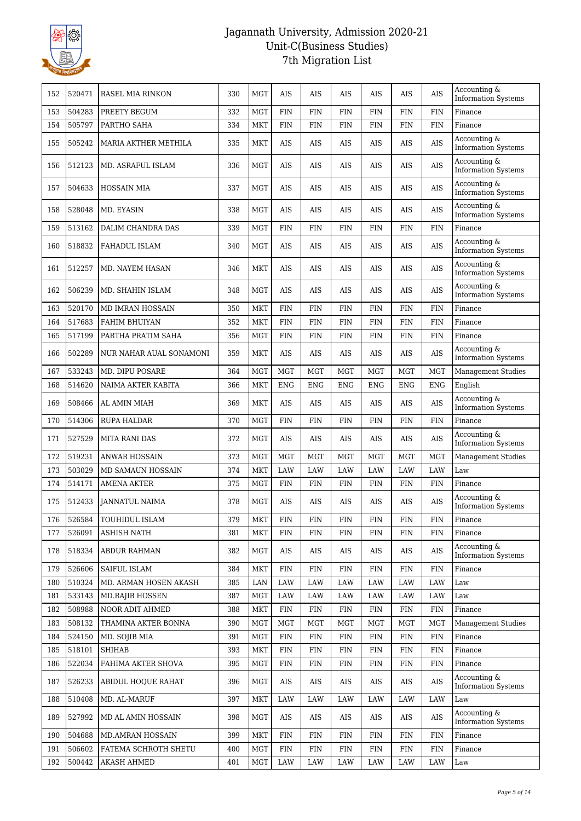

| 152 | 520471 | RASEL MIA RINKON         | 330 | <b>MGT</b>                  | AIS         | AIS         | AIS         | AIS         | <b>AIS</b>  | <b>AIS</b>  | Accounting &<br><b>Information Systems</b> |
|-----|--------|--------------------------|-----|-----------------------------|-------------|-------------|-------------|-------------|-------------|-------------|--------------------------------------------|
| 153 | 504283 | PREETY BEGUM             | 332 | <b>MGT</b>                  | <b>FIN</b>  | <b>FIN</b>  | <b>FIN</b>  | <b>FIN</b>  | <b>FIN</b>  | <b>FIN</b>  | Finance                                    |
| 154 | 505797 | PARTHO SAHA              | 334 | <b>MKT</b>                  | <b>FIN</b>  | <b>FIN</b>  | FIN         | FIN         | FIN         | <b>FIN</b>  | Finance                                    |
| 155 | 505242 | MARIA AKTHER METHILA     | 335 | <b>MKT</b>                  | AIS         | AIS         | AIS         | AIS         | AIS         | <b>AIS</b>  | Accounting &<br><b>Information Systems</b> |
| 156 | 512123 | MD. ASRAFUL ISLAM        | 336 | <b>MGT</b>                  | AIS         | <b>AIS</b>  | <b>AIS</b>  | AIS         | AIS         | <b>AIS</b>  | Accounting &<br><b>Information Systems</b> |
| 157 | 504633 | <b>HOSSAIN MIA</b>       | 337 | <b>MGT</b>                  | AIS         | <b>AIS</b>  | <b>AIS</b>  | <b>AIS</b>  | AIS         | <b>AIS</b>  | Accounting &<br><b>Information Systems</b> |
| 158 | 528048 | MD. EYASIN               | 338 | <b>MGT</b>                  | AIS         | AIS         | AIS         | AIS         | AIS         | <b>AIS</b>  | Accounting &<br><b>Information Systems</b> |
| 159 | 513162 | DALIM CHANDRA DAS        | 339 | <b>MGT</b>                  | <b>FIN</b>  | <b>FIN</b>  | <b>FIN</b>  | <b>FIN</b>  | <b>FIN</b>  | <b>FIN</b>  | Finance                                    |
| 160 | 518832 | FAHADUL ISLAM            | 340 | <b>MGT</b>                  | AIS         | AIS         | <b>AIS</b>  | AIS         | AIS         | <b>AIS</b>  | Accounting &<br><b>Information Systems</b> |
| 161 | 512257 | MD. NAYEM HASAN          | 346 | <b>MKT</b>                  | AIS         | <b>AIS</b>  | AIS         | AIS         | AIS         | <b>AIS</b>  | Accounting &<br><b>Information Systems</b> |
| 162 | 506239 | MD. SHAHIN ISLAM         | 348 | <b>MGT</b>                  | AIS         | AIS         | AIS         | AIS         | AIS         | <b>AIS</b>  | Accounting &<br><b>Information Systems</b> |
| 163 | 520170 | MD IMRAN HOSSAIN         | 350 | <b>MKT</b>                  | <b>FIN</b>  | <b>FIN</b>  | <b>FIN</b>  | <b>FIN</b>  | <b>FIN</b>  | <b>FIN</b>  | Finance                                    |
| 164 | 517683 | <b>FAHIM BHUIYAN</b>     | 352 | <b>MKT</b>                  | <b>FIN</b>  | <b>FIN</b>  | <b>FIN</b>  | <b>FIN</b>  | <b>FIN</b>  | <b>FIN</b>  | Finance                                    |
| 165 | 517199 | PARTHA PRATIM SAHA       | 356 | <b>MGT</b>                  | <b>FIN</b>  | <b>FIN</b>  | FIN         | FIN         | FIN         | <b>FIN</b>  | Finance                                    |
| 166 | 502289 | NUR NAHAR AUAL SONAMONI  | 359 | <b>MKT</b>                  | AIS         | AIS         | AIS         | AIS         | AIS         | <b>AIS</b>  | Accounting &<br><b>Information Systems</b> |
| 167 | 533243 | MD. DIPU POSARE          | 364 | <b>MGT</b>                  | <b>MGT</b>  | <b>MGT</b>  | <b>MGT</b>  | <b>MGT</b>  | <b>MGT</b>  | <b>MGT</b>  | <b>Management Studies</b>                  |
| 168 | 514620 | NAIMA AKTER KABITA       | 366 | <b>MKT</b>                  | <b>ENG</b>  | <b>ENG</b>  | <b>ENG</b>  | <b>ENG</b>  | <b>ENG</b>  | <b>ENG</b>  | English                                    |
| 169 | 508466 | AL AMIN MIAH             | 369 | <b>MKT</b>                  | AIS         | AIS         | AIS         | AIS         | AIS         | AIS         | Accounting &<br><b>Information Systems</b> |
| 170 | 514306 | RUPA HALDAR              | 370 | <b>MGT</b>                  | <b>FIN</b>  | <b>FIN</b>  | <b>FIN</b>  | <b>FIN</b>  | <b>FIN</b>  | <b>FIN</b>  | Finance                                    |
| 171 | 527529 | <b>MITA RANI DAS</b>     | 372 | <b>MGT</b>                  | AIS         | <b>AIS</b>  | <b>AIS</b>  | AIS         | AIS         | <b>AIS</b>  | Accounting &<br><b>Information Systems</b> |
| 172 | 519231 | <b>ANWAR HOSSAIN</b>     | 373 | <b>MGT</b>                  | <b>MGT</b>  | <b>MGT</b>  | <b>MGT</b>  | <b>MGT</b>  | <b>MGT</b>  | <b>MGT</b>  | <b>Management Studies</b>                  |
| 173 | 503029 | <b>MD SAMAUN HOSSAIN</b> | 374 | <b>MKT</b>                  | LAW         | <b>LAW</b>  | LAW         | LAW         | <b>LAW</b>  | <b>LAW</b>  | Law                                        |
| 174 | 514171 | <b>AMENA AKTER</b>       | 375 | <b>MGT</b>                  | <b>FIN</b>  | <b>FIN</b>  | <b>FIN</b>  | <b>FIN</b>  | FIN         | <b>FIN</b>  | Finance                                    |
| 175 | 512433 | <b>JANNATUL NAIMA</b>    | 378 | <b>MGT</b>                  | <b>AIS</b>  | <b>AIS</b>  | <b>AIS</b>  | AIS         | <b>AIS</b>  | <b>AIS</b>  | Accounting &<br><b>Information Systems</b> |
| 176 | 526584 | TOUHIDUL ISLAM           | 379 | $\ensuremath{\mathsf{MKT}}$ | ${\rm FIN}$ | ${\rm FIN}$ | ${\rm FIN}$ | ${\rm FIN}$ | ${\rm FIN}$ | ${\rm FIN}$ | Finance                                    |
| 177 | 526091 | <b>ASHISH NATH</b>       | 381 | <b>MKT</b>                  | <b>FIN</b>  | <b>FIN</b>  | <b>FIN</b>  | <b>FIN</b>  | <b>FIN</b>  | FIN         | Finance                                    |
| 178 | 518334 | <b>ABDUR RAHMAN</b>      | 382 | <b>MGT</b>                  | AIS         | AIS         | AIS         | AIS         | AIS         | AIS         | Accounting &<br><b>Information Systems</b> |
| 179 | 526606 | SAIFUL ISLAM             | 384 | <b>MKT</b>                  | <b>FIN</b>  | <b>FIN</b>  | <b>FIN</b>  | FIN         | <b>FIN</b>  | ${\rm FIN}$ | Finance                                    |
| 180 | 510324 | MD. ARMAN HOSEN AKASH    | 385 | LAN                         | LAW         | LAW         | LAW         | LAW         | LAW         | LAW         | Law                                        |
| 181 | 533143 | <b>MD.RAJIB HOSSEN</b>   | 387 | <b>MGT</b>                  | LAW         | <b>LAW</b>  | LAW         | LAW         | LAW         | LAW         | Law                                        |
| 182 | 508988 | NOOR ADIT AHMED          | 388 | <b>MKT</b>                  | ${\rm FIN}$ | FIN         | <b>FIN</b>  | <b>FIN</b>  | FIN         | <b>FIN</b>  | Finance                                    |
| 183 | 508132 | THAMINA AKTER BONNA      | 390 | <b>MGT</b>                  | <b>MGT</b>  | <b>MGT</b>  | <b>MGT</b>  | MGT         | <b>MGT</b>  | <b>MGT</b>  | Management Studies                         |
| 184 | 524150 | MD. SOJIB MIA            | 391 | <b>MGT</b>                  | <b>FIN</b>  | FIN         | <b>FIN</b>  | <b>FIN</b>  | <b>FIN</b>  | ${\rm FIN}$ | Finance                                    |
| 185 | 518101 | <b>SHIHAB</b>            | 393 | <b>MKT</b>                  | <b>FIN</b>  | <b>FIN</b>  | FIN         | FIN         | FIN         | <b>FIN</b>  | Finance                                    |
| 186 | 522034 | FAHIMA AKTER SHOVA       | 395 | <b>MGT</b>                  | <b>FIN</b>  | <b>FIN</b>  | FIN         | FIN         | <b>FIN</b>  | FIN         | Finance                                    |
| 187 | 526233 | ABIDUL HOQUE RAHAT       | 396 | <b>MGT</b>                  | AIS         | AIS         | AIS         | AIS         | AIS         | $\rm{AIS}$  | Accounting &<br><b>Information Systems</b> |
| 188 | 510408 | MD. AL-MARUF             | 397 | <b>MKT</b>                  | LAW         | LAW         | LAW         | LAW         | LAW         | LAW         | Law                                        |
| 189 | 527992 | MD AL AMIN HOSSAIN       | 398 | <b>MGT</b>                  | AIS         | AIS         | AIS         | AIS         | AIS         | AIS         | Accounting &<br><b>Information Systems</b> |
| 190 | 504688 | <b>MD.AMRAN HOSSAIN</b>  | 399 | <b>MKT</b>                  | <b>FIN</b>  | <b>FIN</b>  | <b>FIN</b>  | FIN         | FIN         | FIN         | Finance                                    |
| 191 | 506602 | FATEMA SCHROTH SHETU     | 400 | <b>MGT</b>                  | <b>FIN</b>  | ${\rm FIN}$ | FIN         | FIN         | <b>FIN</b>  | ${\rm FIN}$ | Finance                                    |
| 192 | 500442 | <b>AKASH AHMED</b>       | 401 | <b>MGT</b>                  | LAW         | LAW         | LAW         | LAW         | LAW         | LAW         | Law                                        |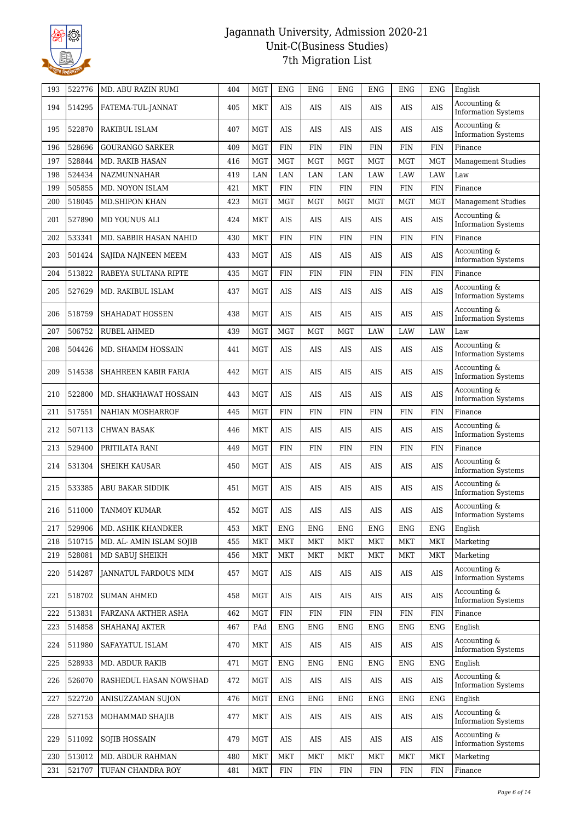

| 193 | 522776 | MD. ABU RAZIN RUMI       | 404 | <b>MGT</b> | <b>ENG</b> | <b>ENG</b>  | ENG        | <b>ENG</b> | ENG        | <b>ENG</b>  | English                                    |
|-----|--------|--------------------------|-----|------------|------------|-------------|------------|------------|------------|-------------|--------------------------------------------|
| 194 | 514295 | FATEMA-TUL-JANNAT        | 405 | MKT        | AIS        | AIS         | <b>AIS</b> | AIS        | AIS        | AIS         | Accounting &<br><b>Information Systems</b> |
| 195 | 522870 | RAKIBUL ISLAM            | 407 | <b>MGT</b> | AIS        | AIS         | AIS        | <b>AIS</b> | AIS        | AIS         | Accounting &<br><b>Information Systems</b> |
| 196 | 528696 | <b>GOURANGO SARKER</b>   | 409 | <b>MGT</b> | <b>FIN</b> | <b>FIN</b>  | <b>FIN</b> | <b>FIN</b> | <b>FIN</b> | <b>FIN</b>  | Finance                                    |
| 197 | 528844 | MD. RAKIB HASAN          | 416 | <b>MGT</b> | <b>MGT</b> | <b>MGT</b>  | <b>MGT</b> | <b>MGT</b> | <b>MGT</b> | <b>MGT</b>  | <b>Management Studies</b>                  |
| 198 | 524434 | NAZMUNNAHAR              | 419 | LAN        | LAN        | LAN         | LAN        | <b>LAW</b> | LAW        | <b>LAW</b>  | Law                                        |
| 199 | 505855 | MD. NOYON ISLAM          | 421 | MKT        | <b>FIN</b> | ${\rm FIN}$ | <b>FIN</b> | <b>FIN</b> | <b>FIN</b> | ${\rm FIN}$ | Finance                                    |
| 200 | 518045 | <b>MD.SHIPON KHAN</b>    | 423 | <b>MGT</b> | <b>MGT</b> | <b>MGT</b>  | <b>MGT</b> | <b>MGT</b> | <b>MGT</b> | <b>MGT</b>  | <b>Management Studies</b>                  |
| 201 | 527890 | MD YOUNUS ALI            | 424 | MKT        | AIS        | AIS         | <b>AIS</b> | AIS        | AIS        | AIS         | Accounting &<br><b>Information Systems</b> |
| 202 | 533341 | MD. SABBIR HASAN NAHID   | 430 | MKT        | <b>FIN</b> | <b>FIN</b>  | <b>FIN</b> | <b>FIN</b> | <b>FIN</b> | <b>FIN</b>  | Finance                                    |
| 203 | 501424 | SAJIDA NAJNEEN MEEM      | 433 | MGT        | AIS        | AIS         | AIS        | <b>AIS</b> | AIS        | $\rm{AIS}$  | Accounting &<br><b>Information Systems</b> |
| 204 | 513822 | RABEYA SULTANA RIPTE     | 435 | <b>MGT</b> | <b>FIN</b> | <b>FIN</b>  | <b>FIN</b> | <b>FIN</b> | <b>FIN</b> | ${\rm FIN}$ | Finance                                    |
| 205 | 527629 | MD. RAKIBUL ISLAM        | 437 | <b>MGT</b> | AIS        | AIS         | <b>AIS</b> | <b>AIS</b> | <b>AIS</b> | AIS         | Accounting &<br><b>Information Systems</b> |
| 206 | 518759 | SHAHADAT HOSSEN          | 438 | <b>MGT</b> | AIS        | AIS         | AIS        | AIS        | AIS        | AIS         | Accounting &<br><b>Information Systems</b> |
| 207 | 506752 | RUBEL AHMED              | 439 | <b>MGT</b> | <b>MGT</b> | <b>MGT</b>  | <b>MGT</b> | LAW        | LAW        | <b>LAW</b>  | Law                                        |
| 208 | 504426 | MD. SHAMIM HOSSAIN       | 441 | MGT        | AIS        | AIS         | AIS        | AIS        | AIS        | AIS         | Accounting &<br><b>Information Systems</b> |
| 209 | 514538 | SHAHREEN KABIR FARIA     | 442 | MGT        | AIS        | AIS         | AIS        | AIS        | <b>AIS</b> | AIS         | Accounting &<br><b>Information Systems</b> |
| 210 | 522800 | MD. SHAKHAWAT HOSSAIN    | 443 | <b>MGT</b> | AIS        | AIS         | AIS        | AIS        | AIS        | AIS         | Accounting &<br><b>Information Systems</b> |
| 211 | 517551 | <b>NAHIAN MOSHARROF</b>  | 445 | <b>MGT</b> | <b>FIN</b> | <b>FIN</b>  | <b>FIN</b> | <b>FIN</b> | FIN        | <b>FIN</b>  | Finance                                    |
| 212 | 507113 | <b>CHWAN BASAK</b>       | 446 | <b>MKT</b> | AIS        | AIS         | AIS        | AIS        | AIS        | AIS         | Accounting &<br><b>Information Systems</b> |
| 213 | 529400 | PRITILATA RANI           | 449 | <b>MGT</b> | <b>FIN</b> | <b>FIN</b>  | <b>FIN</b> | <b>FIN</b> | <b>FIN</b> | <b>FIN</b>  | Finance                                    |
| 214 | 531304 | <b>SHEIKH KAUSAR</b>     | 450 | <b>MGT</b> | AIS        | AIS         | AIS        | AIS        | AIS        | AIS         | Accounting &<br><b>Information Systems</b> |
| 215 | 533385 | ABU BAKAR SIDDIK         | 451 | MGT        | AIS        | AIS         | AIS        | AIS        | AIS        | AIS         | Accounting &<br><b>Information Systems</b> |
| 216 | 511000 | <b>TANMOY KUMAR</b>      | 452 | MGT        | AIS        | AIS         | AIS        | AIS        | AIS        | AIS         | Accounting &<br><b>Information Systems</b> |
| 217 | 529906 | MD. ASHIK KHANDKER       | 453 | <b>MKT</b> | <b>ENG</b> | <b>ENG</b>  | ENG        | <b>ENG</b> | ENG        | <b>ENG</b>  | English                                    |
| 218 | 510715 | MD. AL- AMIN ISLAM SOJIB | 455 | <b>MKT</b> | <b>MKT</b> | MKT         | <b>MKT</b> | MKT        | <b>MKT</b> | MKT         | Marketing                                  |
| 219 | 528081 | MD SABUJ SHEIKH          | 456 | MKT        | <b>MKT</b> | MKT         | <b>MKT</b> | MKT        | MKT        | <b>MKT</b>  | Marketing                                  |
| 220 | 514287 | JANNATUL FARDOUS MIM     | 457 | MGT        | AIS        | AIS         | AIS        | AIS        | AIS        | AIS         | Accounting &<br><b>Information Systems</b> |
| 221 | 518702 | <b>SUMAN AHMED</b>       | 458 | MGT        | AIS        | AIS         | AIS        | AIS        | AIS        | AIS         | Accounting &<br><b>Information Systems</b> |
| 222 | 513831 | FARZANA AKTHER ASHA      | 462 | <b>MGT</b> | <b>FIN</b> | <b>FIN</b>  | FIN        | <b>FIN</b> | <b>FIN</b> | <b>FIN</b>  | Finance                                    |
| 223 | 514858 | SHAHANAJ AKTER           | 467 | PAd        | <b>ENG</b> | ENG         | ENG        | <b>ENG</b> | ENG        | ENG         | English                                    |
| 224 | 511980 | SAFAYATUL ISLAM          | 470 | MKT        | AIS        | AIS         | AIS        | AIS        | AIS        | AIS         | Accounting &<br><b>Information Systems</b> |
| 225 | 528933 | MD. ABDUR RAKIB          | 471 | MGT        | <b>ENG</b> | <b>ENG</b>  | ENG        | <b>ENG</b> | ENG        | <b>ENG</b>  | English                                    |
| 226 | 526070 | RASHEDUL HASAN NOWSHAD   | 472 | <b>MGT</b> | AIS        | AIS         | AIS        | AIS        | AIS        | AIS         | Accounting &<br><b>Information Systems</b> |
| 227 | 522720 | ANISUZZAMAN SUJON        | 476 | MGT        | ENG        | ENG         | ENG        | ENG        | ENG        | ENG         | English                                    |
| 228 | 527153 | MOHAMMAD SHAJIB          | 477 | MKT        | AIS        | AIS         | AIS        | AIS        | AIS        | AIS         | Accounting &<br><b>Information Systems</b> |
| 229 | 511092 | <b>SOJIB HOSSAIN</b>     | 479 | <b>MGT</b> | AIS        | AIS         | AIS        | AIS        | AIS        | AIS         | Accounting &<br><b>Information Systems</b> |
| 230 | 513012 | MD. ABDUR RAHMAN         | 480 | <b>MKT</b> | <b>MKT</b> | <b>MKT</b>  | <b>MKT</b> | MKT        | MKT        | <b>MKT</b>  | Marketing                                  |
| 231 | 521707 | TUFAN CHANDRA ROY        | 481 | MKT        | FIN        | <b>FIN</b>  | <b>FIN</b> | <b>FIN</b> | FIN        | <b>FIN</b>  | Finance                                    |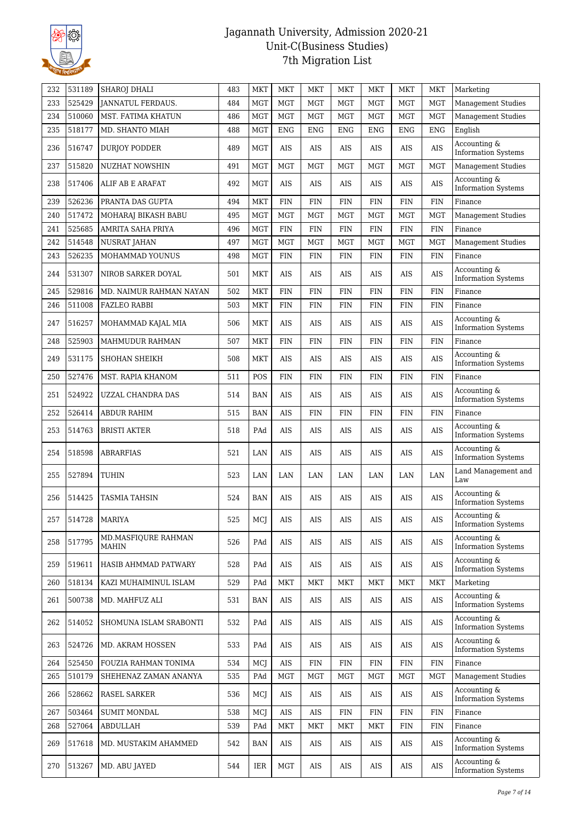

| 232 | 531189 | SHAROJ DHALI                 | 483 | <b>MKT</b> | <b>MKT</b> | <b>MKT</b> | <b>MKT</b> | <b>MKT</b> | <b>MKT</b> | <b>MKT</b>  | Marketing                                  |
|-----|--------|------------------------------|-----|------------|------------|------------|------------|------------|------------|-------------|--------------------------------------------|
| 233 | 525429 | <b>JANNATUL FERDAUS.</b>     | 484 | <b>MGT</b> | <b>MGT</b> | <b>MGT</b> | <b>MGT</b> | <b>MGT</b> | MGT        | <b>MGT</b>  | Management Studies                         |
| 234 | 510060 | MST. FATIMA KHATUN           | 486 | <b>MGT</b> | <b>MGT</b> | <b>MGT</b> | <b>MGT</b> | <b>MGT</b> | <b>MGT</b> | <b>MGT</b>  | <b>Management Studies</b>                  |
| 235 | 518177 | MD. SHANTO MIAH              | 488 | <b>MGT</b> | <b>ENG</b> | <b>ENG</b> | <b>ENG</b> | <b>ENG</b> | <b>ENG</b> | <b>ENG</b>  | English                                    |
| 236 | 516747 | <b>DURJOY PODDER</b>         | 489 | <b>MGT</b> | AIS        | AIS        | <b>AIS</b> | AIS        | <b>AIS</b> | AIS         | Accounting &<br><b>Information Systems</b> |
| 237 | 515820 | NUZHAT NOWSHIN               | 491 | <b>MGT</b> | <b>MGT</b> | <b>MGT</b> | <b>MGT</b> | <b>MGT</b> | <b>MGT</b> | <b>MGT</b>  | <b>Management Studies</b>                  |
| 238 | 517406 | ALIF AB E ARAFAT             | 492 | <b>MGT</b> | AIS        | AIS        | AIS        | AIS        | AIS        | AIS         | Accounting &<br><b>Information Systems</b> |
| 239 | 526236 | PRANTA DAS GUPTA             | 494 | <b>MKT</b> | <b>FIN</b> | <b>FIN</b> | <b>FIN</b> | <b>FIN</b> | <b>FIN</b> | ${\rm FIN}$ | Finance                                    |
| 240 | 517472 | MOHARAJ BIKASH BABU          | 495 | <b>MGT</b> | <b>MGT</b> | <b>MGT</b> | <b>MGT</b> | <b>MGT</b> | <b>MGT</b> | <b>MGT</b>  | <b>Management Studies</b>                  |
| 241 | 525685 | AMRITA SAHA PRIYA            | 496 | <b>MGT</b> | <b>FIN</b> | <b>FIN</b> | <b>FIN</b> | FIN        | <b>FIN</b> | <b>FIN</b>  | Finance                                    |
| 242 | 514548 | NUSRAT JAHAN                 | 497 | <b>MGT</b> | <b>MGT</b> | <b>MGT</b> | <b>MGT</b> | <b>MGT</b> | <b>MGT</b> | <b>MGT</b>  | <b>Management Studies</b>                  |
| 243 | 526235 | MOHAMMAD YOUNUS              | 498 | <b>MGT</b> | <b>FIN</b> | <b>FIN</b> | <b>FIN</b> | FIN        | <b>FIN</b> | <b>FIN</b>  | Finance                                    |
| 244 | 531307 | NIROB SARKER DOYAL           | 501 | MKT        | AIS        | AIS        | AIS        | AIS        | AIS        | AIS         | Accounting &<br><b>Information Systems</b> |
| 245 | 529816 | MD. NAIMUR RAHMAN NAYAN      | 502 | <b>MKT</b> | <b>FIN</b> | <b>FIN</b> | <b>FIN</b> | FIN        | <b>FIN</b> | <b>FIN</b>  | Finance                                    |
| 246 | 511008 | <b>FAZLEO RABBI</b>          | 503 | <b>MKT</b> | <b>FIN</b> | <b>FIN</b> | <b>FIN</b> | FIN        | <b>FIN</b> | <b>FIN</b>  | Finance                                    |
| 247 | 516257 | MOHAMMAD KAJAL MIA           | 506 | <b>MKT</b> | AIS        | AIS        | <b>AIS</b> | AIS        | AIS        | AIS         | Accounting &<br><b>Information Systems</b> |
| 248 | 525903 | MAHMUDUR RAHMAN              | 507 | <b>MKT</b> | <b>FIN</b> | <b>FIN</b> | <b>FIN</b> | FIN        | <b>FIN</b> | <b>FIN</b>  | Finance                                    |
| 249 | 531175 | SHOHAN SHEIKH                | 508 | <b>MKT</b> | AIS        | AIS        | AIS        | AIS        | AIS        | AIS         | Accounting &<br><b>Information Systems</b> |
| 250 | 527476 | MST. RAPIA KHANOM            | 511 | POS        | <b>FIN</b> | <b>FIN</b> | <b>FIN</b> | <b>FIN</b> | <b>FIN</b> | <b>FIN</b>  | Finance                                    |
| 251 | 524922 | UZZAL CHANDRA DAS            | 514 | <b>BAN</b> | AIS        | AIS        | <b>AIS</b> | AIS        | AIS        | AIS         | Accounting &<br><b>Information Systems</b> |
| 252 | 526414 | ABDUR RAHIM                  | 515 | <b>BAN</b> | <b>AIS</b> | <b>FIN</b> | <b>FIN</b> | FIN        | <b>FIN</b> | <b>FIN</b>  | Finance                                    |
| 253 | 514763 | <b>BRISTI AKTER</b>          | 518 | PAd        | AIS        | AIS        | AIS        | AIS        | AIS        | AIS         | Accounting &<br><b>Information Systems</b> |
| 254 | 518598 | <b>ABRARFIAS</b>             | 521 | LAN        | AIS        | AIS        | <b>AIS</b> | AIS        | AIS        | AIS         | Accounting &<br><b>Information Systems</b> |
| 255 | 527894 | <b>TUHIN</b>                 | 523 | LAN        | LAN        | LAN        | LAN        | LAN        | LAN        | LAN         | Land Management and<br>Law                 |
| 256 | 514425 | <b>TASMIA TAHSIN</b>         | 524 | <b>BAN</b> | AIS        | AIS        | AIS        | AIS        | AIS        | AIS         | Accounting &<br><b>Information Systems</b> |
| 257 | 514728 | <b>MARIYA</b>                | 525 | MCJ        | AIS        | AIS        | AIS        | AIS        | AIS        | AIS         | Accounting &<br><b>Information Systems</b> |
| 258 | 517795 | MD.MASFIQURE RAHMAN<br>MAHIN | 526 | PAd        | AIS        | AIS        | AIS        | AIS        | AIS        | AIS         | Accounting &<br><b>Information Systems</b> |
| 259 | 519611 | HASIB AHMMAD PATWARY         | 528 | PAd        | AIS        | AIS        | AIS        | AIS        | AIS        | $\rm{AIS}$  | Accounting &<br><b>Information Systems</b> |
| 260 | 518134 | KAZI MUHAIMINUL ISLAM        | 529 | PAd        | MKT        | MKT        | MKT        | <b>MKT</b> | <b>MKT</b> | MKT         | Marketing                                  |
| 261 | 500738 | MD. MAHFUZ ALI               | 531 | <b>BAN</b> | AIS        | AIS        | AIS        | AIS        | AIS        | AIS         | Accounting &<br><b>Information Systems</b> |
| 262 | 514052 | SHOMUNA ISLAM SRABONTI       | 532 | PAd        | AIS        | AIS        | AIS        | AIS        | AIS        | AIS         | Accounting &<br><b>Information Systems</b> |
| 263 | 524726 | MD. AKRAM HOSSEN             | 533 | PAd        | AIS        | AIS        | AIS        | AIS        | AIS        | $\rm{AIS}$  | Accounting &<br><b>Information Systems</b> |
| 264 | 525450 | FOUZIA RAHMAN TONIMA         | 534 | MCJ        | <b>AIS</b> | <b>FIN</b> | <b>FIN</b> | <b>FIN</b> | <b>FIN</b> | FIN         | Finance                                    |
| 265 | 510179 | SHEHENAZ ZAMAN ANANYA        | 535 | PAd        | <b>MGT</b> | MGT        | <b>MGT</b> | MGT        | <b>MGT</b> | MGT         | <b>Management Studies</b>                  |
| 266 | 528662 | RASEL SARKER                 | 536 | MCJ        | AIS        | AIS        | AIS        | AIS        | AIS        | AIS         | Accounting &<br><b>Information Systems</b> |
| 267 | 503464 | <b>SUMIT MONDAL</b>          | 538 | MCJ        | AIS        | AIS        | <b>FIN</b> | FIN        | <b>FIN</b> | <b>FIN</b>  | Finance                                    |
| 268 | 527064 | ABDULLAH                     | 539 | PAd        | MKT        | MKT        | MKT        | <b>MKT</b> | FIN        | <b>FIN</b>  | Finance                                    |
| 269 | 517618 | MD. MUSTAKIM AHAMMED         | 542 | BAN        | AIS        | AIS        | AIS        | AIS        | AIS        | AIS         | Accounting &<br><b>Information Systems</b> |
| 270 | 513267 | MD. ABU JAYED                | 544 | IER        | <b>MGT</b> | AIS        | AIS        | AIS        | AIS        | AIS         | Accounting &<br><b>Information Systems</b> |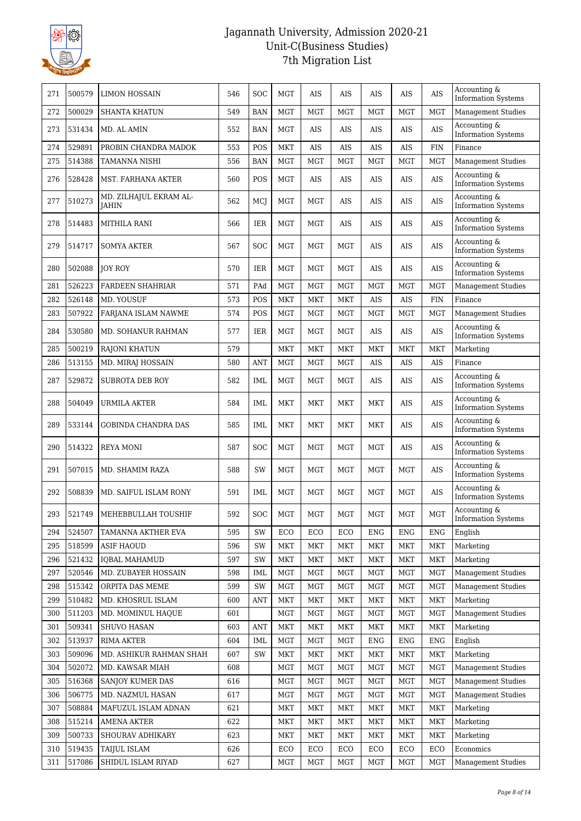

| 271 | 500579 | LIMON HOSSAIN                          | 546 | <b>SOC</b> | <b>MGT</b> | AIS        | AIS        | AIS        | AIS        | AIS        | Accounting &<br><b>Information Systems</b> |
|-----|--------|----------------------------------------|-----|------------|------------|------------|------------|------------|------------|------------|--------------------------------------------|
| 272 | 500029 | <b>SHANTA KHATUN</b>                   | 549 | <b>BAN</b> | <b>MGT</b> | <b>MGT</b> | <b>MGT</b> | <b>MGT</b> | <b>MGT</b> | <b>MGT</b> | <b>Management Studies</b>                  |
| 273 | 531434 | MD. AL AMIN                            | 552 | <b>BAN</b> | <b>MGT</b> | AIS        | AIS        | AIS        | AIS        | AIS        | Accounting &<br><b>Information Systems</b> |
| 274 | 529891 | PROBIN CHANDRA MADOK                   | 553 | POS        | <b>MKT</b> | AIS        | AIS        | AIS        | <b>AIS</b> | <b>FIN</b> | Finance                                    |
| 275 | 514388 | TAMANNA NISHI                          | 556 | <b>BAN</b> | <b>MGT</b> | <b>MGT</b> | <b>MGT</b> | <b>MGT</b> | <b>MGT</b> | <b>MGT</b> | <b>Management Studies</b>                  |
| 276 | 528428 | MST. FARHANA AKTER                     | 560 | POS        | <b>MGT</b> | AIS        | AIS        | AIS        | AIS        | AIS        | Accounting &<br><b>Information Systems</b> |
| 277 | 510273 | MD. ZILHAJUL EKRAM AL-<br><b>IAHIN</b> | 562 | MCJ        | <b>MGT</b> | <b>MGT</b> | <b>AIS</b> | <b>AIS</b> | AIS        | AIS        | Accounting &<br><b>Information Systems</b> |
| 278 | 514483 | <b>MITHILA RANI</b>                    | 566 | IER        | <b>MGT</b> | <b>MGT</b> | AIS        | AIS        | AIS        | AIS        | Accounting &<br><b>Information Systems</b> |
| 279 | 514717 | <b>SOMYA AKTER</b>                     | 567 | <b>SOC</b> | <b>MGT</b> | MGT        | <b>MGT</b> | AIS        | AIS        | AIS        | Accounting &<br><b>Information Systems</b> |
| 280 | 502088 | <b>JOY ROY</b>                         | 570 | <b>IER</b> | <b>MGT</b> | <b>MGT</b> | <b>MGT</b> | AIS        | AIS        | AIS        | Accounting &<br><b>Information Systems</b> |
| 281 | 526223 | <b>FARDEEN SHAHRIAR</b>                | 571 | PAd        | <b>MGT</b> | <b>MGT</b> | <b>MGT</b> | <b>MGT</b> | <b>MGT</b> | <b>MGT</b> | <b>Management Studies</b>                  |
| 282 | 526148 | MD. YOUSUF                             | 573 | POS        | <b>MKT</b> | <b>MKT</b> | <b>MKT</b> | AIS        | AIS        | <b>FIN</b> | Finance                                    |
| 283 | 507922 | FARJANA ISLAM NAWME                    | 574 | POS        | <b>MGT</b> | <b>MGT</b> | <b>MGT</b> | <b>MGT</b> | <b>MGT</b> | <b>MGT</b> | <b>Management Studies</b>                  |
| 284 | 530580 | MD. SOHANUR RAHMAN                     | 577 | IER        | <b>MGT</b> | <b>MGT</b> | <b>MGT</b> | AIS        | AIS        | AIS        | Accounting &<br><b>Information Systems</b> |
| 285 | 500219 | <b>RAJONI KHATUN</b>                   | 579 |            | <b>MKT</b> | <b>MKT</b> | <b>MKT</b> | <b>MKT</b> | <b>MKT</b> | <b>MKT</b> | Marketing                                  |
| 286 | 513155 | MD. MIRAJ HOSSAIN                      | 580 | <b>ANT</b> | <b>MGT</b> | MGT        | <b>MGT</b> | AIS        | AIS        | AIS        | Finance                                    |
| 287 | 529872 | SUBROTA DEB ROY                        | 582 | <b>IML</b> | <b>MGT</b> | MGT        | <b>MGT</b> | AIS        | <b>AIS</b> | AIS        | Accounting &<br><b>Information Systems</b> |
| 288 | 504049 | URMILA AKTER                           | 584 | IML        | <b>MKT</b> | <b>MKT</b> | <b>MKT</b> | <b>MKT</b> | AIS        | AIS        | Accounting &<br><b>Information Systems</b> |
| 289 | 533144 | <b>GOBINDA CHANDRA DAS</b>             | 585 | IML        | <b>MKT</b> | MKT        | MKT        | <b>MKT</b> | AIS        | AIS        | Accounting &<br><b>Information Systems</b> |
| 290 | 514322 | REYA MONI                              | 587 | <b>SOC</b> | <b>MGT</b> | <b>MGT</b> | <b>MGT</b> | <b>MGT</b> | AIS        | AIS        | Accounting &<br><b>Information Systems</b> |
| 291 | 507015 | MD. SHAMIM RAZA                        | 588 | <b>SW</b>  | <b>MGT</b> | <b>MGT</b> | <b>MGT</b> | <b>MGT</b> | MGT        | AIS        | Accounting &<br><b>Information Systems</b> |
| 292 | 508839 | MD. SAIFUL ISLAM RONY                  | 591 | IML        | <b>MGT</b> | <b>MGT</b> | <b>MGT</b> | <b>MGT</b> | MGT        | AIS        | Accounting &<br><b>Information Systems</b> |
| 293 |        | 521749   MEHEBBULLAH TOUSHIF           | 592 | <b>SOC</b> | <b>MGT</b> | <b>MGT</b> | <b>MGT</b> | <b>MGT</b> | MGT        | <b>MGT</b> | Accounting &<br><b>Information Systems</b> |
| 294 | 524507 | TAMANNA AKTHER EVA                     | 595 | SW         | ECO        | ECO        | ECO        | ENG        | ENG        | ENG        | English                                    |
| 295 | 518599 | <b>ASIF HAOUD</b>                      | 596 | SW         | <b>MKT</b> | <b>MKT</b> | <b>MKT</b> | <b>MKT</b> | <b>MKT</b> | <b>MKT</b> | Marketing                                  |
| 296 | 521432 | <b>IQBAL MAHAMUD</b>                   | 597 | SW         | MKT        | <b>MKT</b> | <b>MKT</b> | <b>MKT</b> | MKT        | <b>MKT</b> | Marketing                                  |
| 297 | 520546 | MD. ZUBAYER HOSSAIN                    | 598 | IML        | <b>MGT</b> | MGT        | <b>MGT</b> | MGT        | <b>MGT</b> | <b>MGT</b> | <b>Management Studies</b>                  |
| 298 | 515342 | ORPITA DAS MEME                        | 599 | SW         | <b>MGT</b> | <b>MGT</b> | <b>MGT</b> | <b>MGT</b> | MGT        | <b>MGT</b> | Management Studies                         |
| 299 | 510482 | MD. KHOSRUL ISLAM                      | 600 | ANT        | MKT        | MKT        | <b>MKT</b> | <b>MKT</b> | MKT        | <b>MKT</b> | Marketing                                  |
| 300 | 511203 | MD. MOMINUL HAQUE                      | 601 |            | <b>MGT</b> | <b>MGT</b> | <b>MGT</b> | <b>MGT</b> | MGT        | <b>MGT</b> | <b>Management Studies</b>                  |
| 301 | 509341 | SHUVO HASAN                            | 603 | ANT        | MKT        | MKT        | MKT        | MKT        | MKT        | MKT        | Marketing                                  |
| 302 | 513937 | <b>RIMA AKTER</b>                      | 604 | IML        | <b>MGT</b> | MGT        | <b>MGT</b> | <b>ENG</b> | ENG        | <b>ENG</b> | English                                    |
| 303 | 509096 | MD. ASHIKUR RAHMAN SHAH                | 607 | SW         | <b>MKT</b> | MKT        | MKT        | <b>MKT</b> | <b>MKT</b> | MKT        | Marketing                                  |
| 304 | 502072 | MD. KAWSAR MIAH                        | 608 |            | <b>MGT</b> | <b>MGT</b> | <b>MGT</b> | <b>MGT</b> | MGT        | <b>MGT</b> | <b>Management Studies</b>                  |
| 305 | 516368 | SANJOY KUMER DAS                       | 616 |            | MGT        | MGT        | <b>MGT</b> | <b>MGT</b> | MGT        | <b>MGT</b> | Management Studies                         |
| 306 | 506775 | MD. NAZMUL HASAN                       | 617 |            | <b>MGT</b> | MGT        | <b>MGT</b> | <b>MGT</b> | MGT        | <b>MGT</b> | <b>Management Studies</b>                  |
| 307 | 508884 | MAFUZUL ISLAM ADNAN                    | 621 |            | <b>MKT</b> | <b>MKT</b> | <b>MKT</b> | MKT        | MKT        | <b>MKT</b> | Marketing                                  |
| 308 | 515214 | <b>AMENA AKTER</b>                     | 622 |            | MKT        | <b>MKT</b> | <b>MKT</b> | <b>MKT</b> | MKT        | <b>MKT</b> | Marketing                                  |
| 309 | 500733 | SHOURAV ADHIKARY                       | 623 |            | MKT        | MKT        | MKT        | MKT        | MKT        | <b>MKT</b> | Marketing                                  |
| 310 | 519435 | <b>TAIJUL ISLAM</b>                    | 626 |            | ECO        | ECO        | ECO        | ECO        | ECO        | ECO        | Economics                                  |
| 311 | 517086 | SHIDUL ISLAM RIYAD                     | 627 |            | <b>MGT</b> | <b>MGT</b> | <b>MGT</b> | <b>MGT</b> | <b>MGT</b> | MGT        | <b>Management Studies</b>                  |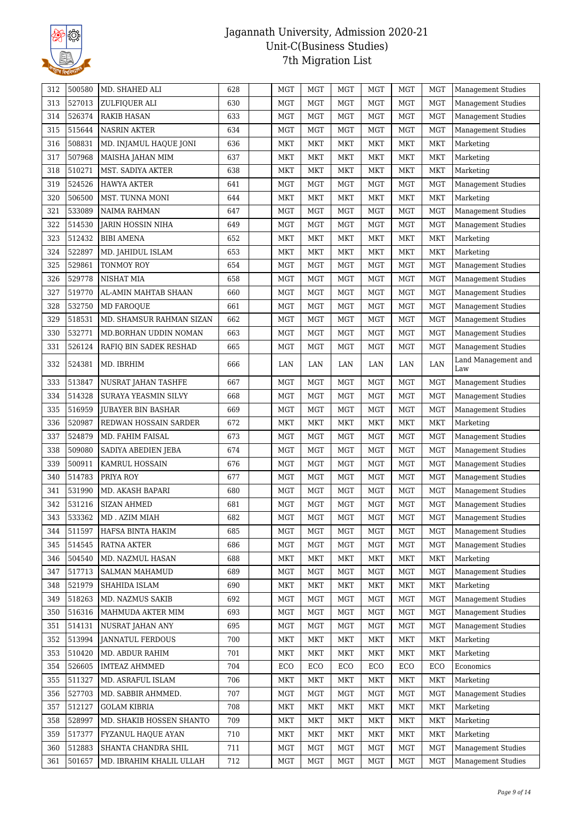

| 312 | 500580 | MD. SHAHED ALI           | 628 | MGT        | <b>MGT</b> | <b>MGT</b> | <b>MGT</b> | MGT        | MGT        | Management Studies        |
|-----|--------|--------------------------|-----|------------|------------|------------|------------|------------|------------|---------------------------|
| 313 | 527013 | ZULFIQUER ALI            | 630 | <b>MGT</b> | <b>MGT</b> | <b>MGT</b> | MGT        | <b>MGT</b> | <b>MGT</b> | <b>Management Studies</b> |
| 314 | 526374 | <b>RAKIB HASAN</b>       | 633 | <b>MGT</b> | <b>MGT</b> | <b>MGT</b> | MGT        | MGT        | MGT        | <b>Management Studies</b> |
| 315 | 515644 | <b>NASRIN AKTER</b>      | 634 | <b>MGT</b> | <b>MGT</b> | <b>MGT</b> | <b>MGT</b> | <b>MGT</b> | <b>MGT</b> | <b>Management Studies</b> |
| 316 | 508831 | MD. INJAMUL HAQUE JONI   | 636 | MKT        | <b>MKT</b> | <b>MKT</b> | <b>MKT</b> | <b>MKT</b> | <b>MKT</b> | Marketing                 |
| 317 | 507968 | MAISHA JAHAN MIM         | 637 | MKT        | <b>MKT</b> | <b>MKT</b> | MKT        | MKT        | MKT        | Marketing                 |
| 318 | 510271 | MST. SADIYA AKTER        | 638 | <b>MKT</b> | <b>MKT</b> | <b>MKT</b> | <b>MKT</b> | <b>MKT</b> | MKT        | Marketing                 |
| 319 | 524526 | <b>HAWYA AKTER</b>       | 641 | <b>MGT</b> | <b>MGT</b> | <b>MGT</b> | <b>MGT</b> | MGT        | <b>MGT</b> | <b>Management Studies</b> |
| 320 | 506500 | MST. TUNNA MONI          | 644 | MKT        | <b>MKT</b> | MKT        | MKT        | MKT        | <b>MKT</b> | Marketing                 |
| 321 | 533089 | NAIMA RAHMAN             | 647 | MGT        | <b>MGT</b> | <b>MGT</b> | <b>MGT</b> | MGT        | <b>MGT</b> | <b>Management Studies</b> |
| 322 | 514530 | <b>JARIN HOSSIN NIHA</b> | 649 | <b>MGT</b> | <b>MGT</b> | <b>MGT</b> | <b>MGT</b> | <b>MGT</b> | <b>MGT</b> | <b>Management Studies</b> |
| 323 | 512432 | <b>BIBI AMENA</b>        | 652 | <b>MKT</b> | <b>MKT</b> | <b>MKT</b> | <b>MKT</b> | <b>MKT</b> | MKT        | Marketing                 |
| 324 | 522897 | MD. JAHIDUL ISLAM        | 653 | MKT        | <b>MKT</b> | MKT        | MKT        | MKT        | <b>MKT</b> | Marketing                 |
| 325 | 529861 | TONMOY ROY               | 654 | <b>MGT</b> | <b>MGT</b> | <b>MGT</b> | <b>MGT</b> | <b>MGT</b> | MGT        | <b>Management Studies</b> |
| 326 | 529778 | NISHAT MIA               | 658 | <b>MGT</b> | <b>MGT</b> | <b>MGT</b> | <b>MGT</b> | MGT        | <b>MGT</b> | Management Studies        |
| 327 | 519770 | AL-AMIN MAHTAB SHAAN     | 660 | MGT        | <b>MGT</b> | MGT        | MGT        | MGT        | MGT        | Management Studies        |
| 328 | 532750 | MD FAROQUE               | 661 | <b>MGT</b> | MGT        | <b>MGT</b> | <b>MGT</b> | MGT        | <b>MGT</b> | <b>Management Studies</b> |
| 329 | 518531 | MD. SHAMSUR RAHMAN SIZAN | 662 | <b>MGT</b> | <b>MGT</b> | <b>MGT</b> | MGT        | <b>MGT</b> | <b>MGT</b> | <b>Management Studies</b> |
| 330 | 532771 | MD.BORHAN UDDIN NOMAN    | 663 | MGT        | <b>MGT</b> | <b>MGT</b> | <b>MGT</b> | MGT        | <b>MGT</b> | <b>Management Studies</b> |
| 331 | 526124 | RAFIQ BIN SADEK RESHAD   | 665 | MGT        | MGT        | <b>MGT</b> | <b>MGT</b> | MGT        | <b>MGT</b> | <b>Management Studies</b> |
|     |        |                          |     |            |            |            |            |            |            | Land Management and       |
| 332 | 524381 | MD. IBRHIM               | 666 | LAN        | LAN        | LAN        | LAN        | LAN        | LAN        | Law                       |
| 333 | 513847 | NUSRAT JAHAN TASHFE      | 667 | <b>MGT</b> | <b>MGT</b> | <b>MGT</b> | <b>MGT</b> | <b>MGT</b> | MGT        | <b>Management Studies</b> |
| 334 | 514328 | SURAYA YEASMIN SILVY     | 668 | <b>MGT</b> | <b>MGT</b> | <b>MGT</b> | <b>MGT</b> | <b>MGT</b> | <b>MGT</b> | Management Studies        |
| 335 | 516959 | JUBAYER BIN BASHAR       | 669 | MGT        | <b>MGT</b> | MGT        | MGT        | MGT        | MGT        | <b>Management Studies</b> |
| 336 | 520987 | REDWAN HOSSAIN SARDER    | 672 | MKT        | <b>MKT</b> | <b>MKT</b> | MKT        | <b>MKT</b> | MKT        | Marketing                 |
| 337 | 524879 | MD. FAHIM FAISAL         | 673 | <b>MGT</b> | <b>MGT</b> | <b>MGT</b> | MGT        | <b>MGT</b> | <b>MGT</b> | <b>Management Studies</b> |
| 338 | 509080 | SADIYA ABEDIEN JEBA      | 674 | MGT        | <b>MGT</b> | <b>MGT</b> | MGT        | MGT        | <b>MGT</b> | <b>Management Studies</b> |
| 339 | 500911 | KAMRUL HOSSAIN           | 676 | MGT        | MGT        | <b>MGT</b> | MGT        | MGT        | MGT        | Management Studies        |
| 340 | 514783 | PRIYA ROY                | 677 | MGT        | MGT        | <b>MGT</b> | MGT        | MGT        | <b>MGT</b> | <b>Management Studies</b> |
| 341 | 531990 | MD. AKASH BAPARI         | 680 | <b>MGT</b> | <b>MGT</b> | <b>MGT</b> | <b>MGT</b> | <b>MGT</b> | MGT        | <b>Management Studies</b> |
| 342 | 531216 | <b>SIZAN AHMED</b>       | 681 | <b>MGT</b> | <b>MGT</b> | <b>MGT</b> | <b>MGT</b> | <b>MGT</b> | <b>MGT</b> | Management Studies        |
| 343 | 533362 | MD . AZIM MIAH           | 682 | $\rm MGT$  | $\rm MGT$  | $\rm MGT$  | $\rm MGT$  | $\rm MGT$  | MGT        | Management Studies        |
| 344 | 511597 | HAFSA BINTA HAKIM        | 685 | MGT        | MGT        | MGT        | MGT        | MGT        | MGT        | <b>Management Studies</b> |
| 345 | 514545 | RATNA AKTER              | 686 | <b>MGT</b> | <b>MGT</b> | <b>MGT</b> | <b>MGT</b> | <b>MGT</b> | MGT        | <b>Management Studies</b> |
| 346 | 504540 | MD. NAZMUL HASAN         | 688 | MKT        | MKT        | MKT        | MKT        | MKT        | <b>MKT</b> | Marketing                 |
| 347 | 517713 | <b>SALMAN MAHAMUD</b>    | 689 | <b>MGT</b> | MGT        | <b>MGT</b> | MGT        | <b>MGT</b> | MGT        | <b>Management Studies</b> |
| 348 | 521979 | SHAHIDA ISLAM            | 690 | <b>MKT</b> | <b>MKT</b> | <b>MKT</b> | <b>MKT</b> | MKT        | <b>MKT</b> | Marketing                 |
| 349 | 518263 | MD. NAZMUS SAKIB         | 692 | <b>MGT</b> | MGT        | <b>MGT</b> | <b>MGT</b> | MGT        | <b>MGT</b> | <b>Management Studies</b> |
| 350 | 516316 | MAHMUDA AKTER MIM        | 693 | <b>MGT</b> | <b>MGT</b> | <b>MGT</b> | <b>MGT</b> | <b>MGT</b> | <b>MGT</b> | Management Studies        |
| 351 | 514131 | NUSRAT JAHAN ANY         | 695 | MGT        | MGT        | MGT        | MGT        | MGT        | MGT        | Management Studies        |
| 352 | 513994 | <b>JANNATUL FERDOUS</b>  | 700 | MKT        | MKT        | MKT        | MKT        | MKT        | <b>MKT</b> | Marketing                 |
| 353 | 510420 | MD. ABDUR RAHIM          | 701 | <b>MKT</b> | MKT        | MKT        | <b>MKT</b> | <b>MKT</b> | <b>MKT</b> | Marketing                 |
| 354 | 526605 | <b>IMTEAZ AHMMED</b>     | 704 | ECO        | ECO        | ECO        | ECO        | ECO        | ECO        | Economics                 |
| 355 | 511327 | MD. ASRAFUL ISLAM        | 706 | MKT        | MKT        | MKT        | MKT        | MKT        | <b>MKT</b> | Marketing                 |
| 356 | 527703 | MD. SABBIR AHMMED.       | 707 | MGT        | MGT        | MGT        | MGT        | MGT        | <b>MGT</b> | <b>Management Studies</b> |
| 357 | 512127 | <b>GOLAM KIBRIA</b>      | 708 | MKT        | <b>MKT</b> | <b>MKT</b> | MKT        | MKT        | <b>MKT</b> | Marketing                 |
| 358 | 528997 | MD. SHAKIB HOSSEN SHANTO | 709 | MKT        | <b>MKT</b> | <b>MKT</b> | <b>MKT</b> | MKT        | <b>MKT</b> | Marketing                 |
| 359 | 517377 | FYZANUL HAQUE AYAN       | 710 | MKT        | MKT        | MKT        | MKT        | MKT        | <b>MKT</b> | Marketing                 |
| 360 | 512883 | SHANTA CHANDRA SHIL      | 711 | <b>MGT</b> | MGT        | <b>MGT</b> | MGT        | MGT        | <b>MGT</b> | <b>Management Studies</b> |
| 361 | 501657 | MD. IBRAHIM KHALIL ULLAH | 712 | <b>MGT</b> | <b>MGT</b> | <b>MGT</b> | MGT        | <b>MGT</b> | MGT        | Management Studies        |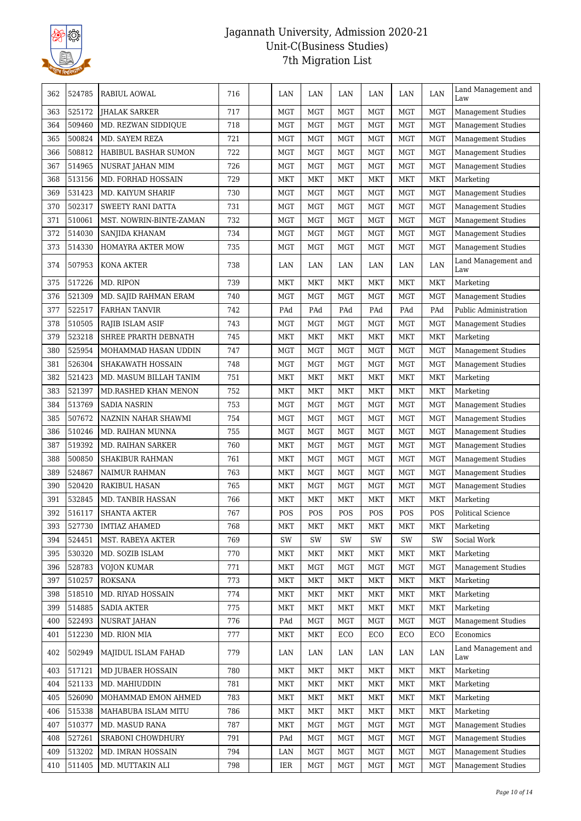

| 362 | 524785 | RABIUL AOWAL             | 716 | LAN        | LAN        | LAN        | LAN        | LAN        | LAN        | Land Management and<br>Law |
|-----|--------|--------------------------|-----|------------|------------|------------|------------|------------|------------|----------------------------|
| 363 | 525172 | <b>JHALAK SARKER</b>     | 717 | <b>MGT</b> | <b>MGT</b> | <b>MGT</b> | <b>MGT</b> | MGT        | <b>MGT</b> | <b>Management Studies</b>  |
| 364 | 509460 | MD. REZWAN SIDDIQUE      | 718 | MGT        | <b>MGT</b> | <b>MGT</b> | <b>MGT</b> | MGT        | <b>MGT</b> | <b>Management Studies</b>  |
| 365 | 500824 | MD. SAYEM REZA           | 721 | <b>MGT</b> | <b>MGT</b> | <b>MGT</b> | <b>MGT</b> | MGT        | <b>MGT</b> | <b>Management Studies</b>  |
| 366 | 508812 | HABIBUL BASHAR SUMON     | 722 | <b>MGT</b> | <b>MGT</b> | <b>MGT</b> | <b>MGT</b> | MGT        | <b>MGT</b> | <b>Management Studies</b>  |
| 367 | 514965 | NUSRAT JAHAN MIM         | 726 | <b>MGT</b> | <b>MGT</b> | <b>MGT</b> | <b>MGT</b> | <b>MGT</b> | <b>MGT</b> | Management Studies         |
| 368 | 513156 | MD. FORHAD HOSSAIN       | 729 | MKT        | <b>MKT</b> | <b>MKT</b> | MKT        | MKT        | <b>MKT</b> | Marketing                  |
| 369 | 531423 | MD. KAIYUM SHARIF        | 730 | <b>MGT</b> | <b>MGT</b> | <b>MGT</b> | <b>MGT</b> | MGT        | <b>MGT</b> | <b>Management Studies</b>  |
| 370 | 502317 | <b>SWEETY RANI DATTA</b> | 731 | <b>MGT</b> | <b>MGT</b> | <b>MGT</b> | <b>MGT</b> | MGT        | <b>MGT</b> | Management Studies         |
| 371 | 510061 | MST. NOWRIN-BINTE-ZAMAN  | 732 | <b>MGT</b> | <b>MGT</b> | <b>MGT</b> | <b>MGT</b> | MGT        | <b>MGT</b> | <b>Management Studies</b>  |
| 372 | 514030 | SANJIDA KHANAM           | 734 | MGT        | MGT        | <b>MGT</b> | <b>MGT</b> | MGT        | <b>MGT</b> | Management Studies         |
| 373 | 514330 | HOMAYRA AKTER MOW        | 735 | <b>MGT</b> | <b>MGT</b> | <b>MGT</b> | <b>MGT</b> | MGT        | <b>MGT</b> | <b>Management Studies</b>  |
| 374 | 507953 | KONA AKTER               | 738 | LAN        | LAN        | LAN        | LAN        | LAN        | LAN        | Land Management and<br>Law |
| 375 | 517226 | MD. RIPON                | 739 | <b>MKT</b> | <b>MKT</b> | <b>MKT</b> | <b>MKT</b> | <b>MKT</b> | <b>MKT</b> | Marketing                  |
| 376 | 521309 | MD. SAJID RAHMAN ERAM    | 740 | <b>MGT</b> | <b>MGT</b> | <b>MGT</b> | <b>MGT</b> | MGT        | <b>MGT</b> | <b>Management Studies</b>  |
| 377 | 522517 | <b>FARHAN TANVIR</b>     | 742 | PAd        | PAd        | PAd        | PAd        | PAd        | PAd        | Public Administration      |
| 378 | 510505 | RAJIB ISLAM ASIF         | 743 | <b>MGT</b> | <b>MGT</b> | <b>MGT</b> | <b>MGT</b> | <b>MGT</b> | <b>MGT</b> | <b>Management Studies</b>  |
| 379 | 523218 | SHREE PRARTH DEBNATH     | 745 | MKT        | <b>MKT</b> | <b>MKT</b> | MKT        | MKT        | <b>MKT</b> | Marketing                  |
| 380 | 525954 | MOHAMMAD HASAN UDDIN     | 747 | <b>MGT</b> | <b>MGT</b> | <b>MGT</b> | <b>MGT</b> | MGT        | <b>MGT</b> | Management Studies         |
| 381 | 526304 | SHAKAWATH HOSSAIN        | 748 | <b>MGT</b> | <b>MGT</b> | <b>MGT</b> | <b>MGT</b> | MGT        | <b>MGT</b> | Management Studies         |
| 382 | 521423 | MD. MASUM BILLAH TANIM   | 751 | <b>MKT</b> | <b>MKT</b> | <b>MKT</b> | <b>MKT</b> | <b>MKT</b> | MKT        | Marketing                  |
| 383 | 521397 | MD.RASHED KHAN MENON     | 752 | MKT        | <b>MKT</b> | <b>MKT</b> | MKT        | MKT        | <b>MKT</b> | Marketing                  |
| 384 | 513769 | <b>SADIA NASRIN</b>      | 753 | <b>MGT</b> | <b>MGT</b> | <b>MGT</b> | <b>MGT</b> | MGT        | <b>MGT</b> | <b>Management Studies</b>  |
| 385 | 507672 | NAZNIN NAHAR SHAWMI      | 754 | <b>MGT</b> | <b>MGT</b> | <b>MGT</b> | <b>MGT</b> | MGT        | <b>MGT</b> | <b>Management Studies</b>  |
| 386 | 510246 | MD. RAIHAN MUNNA         | 755 | <b>MGT</b> | <b>MGT</b> | <b>MGT</b> | <b>MGT</b> | <b>MGT</b> | <b>MGT</b> | Management Studies         |
| 387 | 519392 | MD. RAIHAN SARKER        | 760 | MKT        | <b>MGT</b> | MGT        | MGT        | MGT        | <b>MGT</b> | Management Studies         |
| 388 | 500850 | <b>SHAKIBUR RAHMAN</b>   | 761 | MKT        | <b>MGT</b> | <b>MGT</b> | <b>MGT</b> | MGT        | <b>MGT</b> | <b>Management Studies</b>  |
| 389 | 524867 | NAIMUR RAHMAN            | 763 | MKT        | <b>MGT</b> | <b>MGT</b> | <b>MGT</b> | <b>MGT</b> | <b>MGT</b> | <b>Management Studies</b>  |
| 390 | 520420 | <b>RAKIBUL HASAN</b>     | 765 | MKT        | <b>MGT</b> | <b>MGT</b> | <b>MGT</b> | <b>MGT</b> | <b>MGT</b> | <b>Management Studies</b>  |
| 391 | 532845 | MD. TANBIR HASSAN        | 766 | MKT        | <b>MKT</b> | <b>MKT</b> | <b>MKT</b> | <b>MKT</b> | MKT        | Marketing                  |
| 392 | 516117 | <b>SHANTA AKTER</b>      | 767 | POS        | POS        | POS        | POS        | POS        | POS        | <b>Political Science</b>   |
| 393 | 527730 | <b>IMTIAZ AHAMED</b>     | 768 | MKT        | <b>MKT</b> | MKT        | <b>MKT</b> | MKT        | <b>MKT</b> | Marketing                  |
| 394 | 524451 | MST. RABEYA AKTER        | 769 | SW         | SW         | SW         | SW         | SW         | SW         | Social Work                |
| 395 | 530320 | MD. SOZIB ISLAM          | 770 | MKT        | MKT        | MKT        | MKT        | MKT        | MKT        | Marketing                  |
| 396 | 528783 | VOJON KUMAR              | 771 | MKT        | <b>MGT</b> | MGT        | MGT        | MGT        | <b>MGT</b> | <b>Management Studies</b>  |
| 397 | 510257 | <b>ROKSANA</b>           | 773 | <b>MKT</b> | <b>MKT</b> | <b>MKT</b> | <b>MKT</b> | <b>MKT</b> | <b>MKT</b> | Marketing                  |
| 398 | 518510 | MD. RIYAD HOSSAIN        | 774 | MKT        | MKT        | MKT        | MKT        | <b>MKT</b> | <b>MKT</b> | Marketing                  |
| 399 | 514885 | <b>SADIA AKTER</b>       | 775 | MKT        | MKT        | <b>MKT</b> | <b>MKT</b> | <b>MKT</b> | <b>MKT</b> | Marketing                  |
| 400 | 522493 | NUSRAT JAHAN             | 776 | PAd        | <b>MGT</b> | MGT        | MGT        | MGT        | <b>MGT</b> | <b>Management Studies</b>  |
| 401 | 512230 | MD. RION MIA             | 777 | <b>MKT</b> | MKT        | ECO        | ECO        | ECO        | ECO        | Economics                  |
| 402 | 502949 | MAJIDUL ISLAM FAHAD      | 779 | LAN        | LAN        | LAN        | LAN        | LAN        | LAN        | Land Management and<br>Law |
| 403 | 517121 | MD JUBAER HOSSAIN        | 780 | MKT        | <b>MKT</b> | MKT        | MKT        | MKT        | <b>MKT</b> | Marketing                  |
| 404 | 521133 | MD. MAHIUDDIN            | 781 | MKT        | MKT        | MKT        | MKT        | MKT        | <b>MKT</b> | Marketing                  |
| 405 | 526090 | MOHAMMAD EMON AHMED      | 783 | <b>MKT</b> | <b>MKT</b> | <b>MKT</b> | <b>MKT</b> | <b>MKT</b> | <b>MKT</b> | Marketing                  |
| 406 | 515338 | MAHABUBA ISLAM MITU      | 786 | MKT        | MKT        | MKT        | MKT        | <b>MKT</b> | <b>MKT</b> | Marketing                  |
| 407 | 510377 | MD. MASUD RANA           | 787 | MKT        | <b>MGT</b> | MGT        | MGT        | <b>MGT</b> | <b>MGT</b> | <b>Management Studies</b>  |
| 408 | 527261 | SRABONI CHOWDHURY        | 791 | PAd        | <b>MGT</b> | MGT        | MGT        | MGT        | <b>MGT</b> | Management Studies         |
| 409 | 513202 | MD. IMRAN HOSSAIN        | 794 | LAN        | MGT        | <b>MGT</b> | MGT        | <b>MGT</b> | <b>MGT</b> | <b>Management Studies</b>  |
| 410 | 511405 | MD. MUTTAKIN ALI         | 798 | IER        | <b>MGT</b> | <b>MGT</b> | MGT        | <b>MGT</b> | <b>MGT</b> | Management Studies         |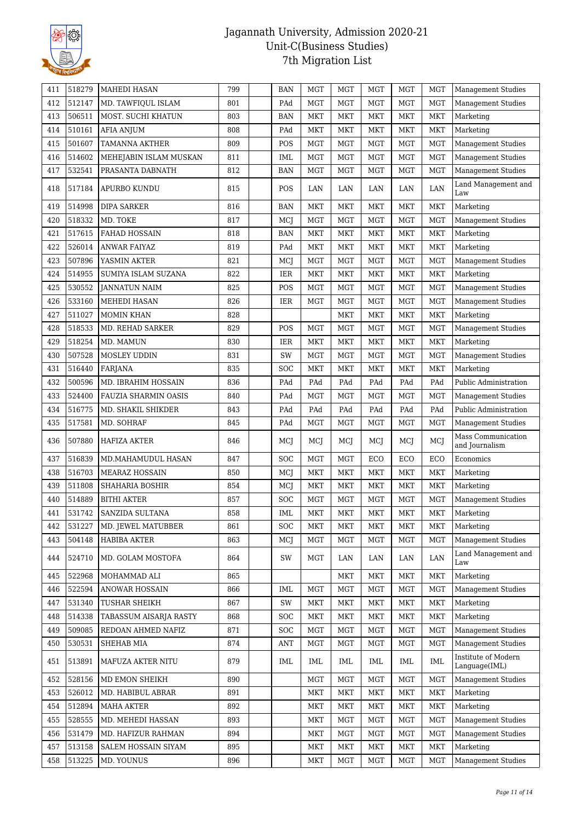

| 411 | 518279 | <b>MAHEDI HASAN</b>    | 799 | BAN        | <b>MGT</b> | <b>MGT</b> | <b>MGT</b> | MGT        | <b>MGT</b> | <b>Management Studies</b>            |
|-----|--------|------------------------|-----|------------|------------|------------|------------|------------|------------|--------------------------------------|
| 412 | 512147 | MD. TAWFIQUL ISLAM     | 801 | PAd        | <b>MGT</b> | <b>MGT</b> | <b>MGT</b> | MGT        | <b>MGT</b> | <b>Management Studies</b>            |
| 413 | 506511 | MOST. SUCHI KHATUN     | 803 | <b>BAN</b> | MKT        | <b>MKT</b> | <b>MKT</b> | <b>MKT</b> | <b>MKT</b> | Marketing                            |
| 414 | 510161 | <b>AFIA ANJUM</b>      | 808 | PAd        | <b>MKT</b> | <b>MKT</b> | <b>MKT</b> | <b>MKT</b> | <b>MKT</b> | Marketing                            |
| 415 | 501607 | <b>TAMANNA AKTHER</b>  | 809 | POS        | <b>MGT</b> | <b>MGT</b> | <b>MGT</b> | <b>MGT</b> | <b>MGT</b> | <b>Management Studies</b>            |
| 416 | 514602 | MEHEJABIN ISLAM MUSKAN | 811 | IML        | MGT        | <b>MGT</b> | <b>MGT</b> | MGT        | <b>MGT</b> | <b>Management Studies</b>            |
| 417 | 532541 | PRASANTA DABNATH       | 812 | <b>BAN</b> | <b>MGT</b> | <b>MGT</b> | <b>MGT</b> | MGT        | <b>MGT</b> | <b>Management Studies</b>            |
|     |        |                        |     |            |            |            |            |            |            | Land Management and                  |
| 418 | 517184 | APURBO KUNDU           | 815 | POS        | LAN        | LAN        | LAN        | LAN        | LAN        | Law                                  |
| 419 | 514998 | <b>DIPA SARKER</b>     | 816 | <b>BAN</b> | <b>MKT</b> | <b>MKT</b> | <b>MKT</b> | <b>MKT</b> | MKT        | Marketing                            |
| 420 | 518332 | MD. TOKE               | 817 | <b>MCJ</b> | MGT        | <b>MGT</b> | <b>MGT</b> | MGT        | <b>MGT</b> | <b>Management Studies</b>            |
| 421 | 517615 | <b>FAHAD HOSSAIN</b>   | 818 | BAN        | MKT        | <b>MKT</b> | <b>MKT</b> | <b>MKT</b> | <b>MKT</b> | Marketing                            |
| 422 | 526014 | ANWAR FAIYAZ           | 819 | PAd        | MKT        | <b>MKT</b> | <b>MKT</b> | <b>MKT</b> | <b>MKT</b> | Marketing                            |
| 423 | 507896 | YASMIN AKTER           | 821 | MCJ        | <b>MGT</b> | <b>MGT</b> | <b>MGT</b> | MGT        | <b>MGT</b> | <b>Management Studies</b>            |
| 424 | 514955 | SUMIYA ISLAM SUZANA    | 822 | IER        | MKT        | <b>MKT</b> | <b>MKT</b> | <b>MKT</b> | MKT        | Marketing                            |
| 425 | 530552 | <b>JANNATUN NAIM</b>   | 825 | POS        | <b>MGT</b> | <b>MGT</b> | <b>MGT</b> | <b>MGT</b> | <b>MGT</b> | <b>Management Studies</b>            |
| 426 | 533160 | MEHEDI HASAN           | 826 | IER        | <b>MGT</b> | <b>MGT</b> | <b>MGT</b> | <b>MGT</b> | <b>MGT</b> | <b>Management Studies</b>            |
| 427 | 511027 | <b>MOMIN KHAN</b>      | 828 |            |            | <b>MKT</b> | <b>MKT</b> | <b>MKT</b> | MKT        | Marketing                            |
| 428 | 518533 | MD. REHAD SARKER       | 829 | POS        | <b>MGT</b> | <b>MGT</b> | <b>MGT</b> | <b>MGT</b> | <b>MGT</b> | <b>Management Studies</b>            |
| 429 | 518254 | MD. MAMUN              | 830 | IER        | <b>MKT</b> | <b>MKT</b> | <b>MKT</b> | <b>MKT</b> | MKT        | Marketing                            |
| 430 | 507528 | MOSLEY UDDIN           | 831 | SW         | <b>MGT</b> | <b>MGT</b> | <b>MGT</b> | MGT        | <b>MGT</b> | <b>Management Studies</b>            |
| 431 | 516440 | FARJANA                | 835 | SOC        | <b>MKT</b> | <b>MKT</b> | <b>MKT</b> | <b>MKT</b> | <b>MKT</b> | Marketing                            |
| 432 | 500596 | MD. IBRAHIM HOSSAIN    | 836 | PAd        | PAd        | PAd        | PAd        | PAd        | PAd        | Public Administration                |
| 433 | 524400 | FAUZIA SHARMIN OASIS   | 840 | PAd        | <b>MGT</b> | <b>MGT</b> | <b>MGT</b> | MGT        | <b>MGT</b> | Management Studies                   |
| 434 | 516775 | MD. SHAKIL SHIKDER     | 843 | PAd        | PAd        | PAd        | PAd        | PAd        | PAd        | Public Administration                |
| 435 | 517581 | MD. SOHRAF             | 845 | PAd        | MGT        | <b>MGT</b> | <b>MGT</b> | MGT        | <b>MGT</b> | <b>Management Studies</b>            |
| 436 | 507880 | HAFIZA AKTER           | 846 | MCJ        | MCI        | MCJ        | MCJ        | MCJ        | MCJ        | Mass Communication<br>and Journalism |
| 437 | 516839 | MD.MAHAMUDUL HASAN     | 847 | SOC        | MGT        | <b>MGT</b> | ECO        | ECO        | ECO        | Economics                            |
| 438 | 516703 | <b>MEARAZ HOSSAIN</b>  | 850 | MCJ        | <b>MKT</b> | <b>MKT</b> | <b>MKT</b> | <b>MKT</b> | MKT        | Marketing                            |
| 439 | 511808 | <b>SHAHARIA BOSHIR</b> | 854 | MCJ        | <b>MKT</b> | <b>MKT</b> | <b>MKT</b> | <b>MKT</b> | MKT        | Marketing                            |
| 440 | 514889 | <b>BITHI AKTER</b>     | 857 | SOC        | <b>MGT</b> | <b>MGT</b> | <b>MGT</b> | <b>MGT</b> | <b>MGT</b> | <b>Management Studies</b>            |
| 441 | 531742 | SANZIDA SULTANA        | 858 | IML        | MKT        | MKT        | <b>MKT</b> | MKT        | MKT        | Marketing                            |
| 442 | 531227 | MD. JEWEL MATUBBER     | 861 | SOC        | <b>MKT</b> | <b>MKT</b> | <b>MKT</b> | MKT        | <b>MKT</b> | Marketing                            |
| 443 | 504148 | HABIBA AKTER           | 863 | MCJ        | MGT        | <b>MGT</b> | MGT        | <b>MGT</b> | <b>MGT</b> | <b>Management Studies</b>            |
| 444 | 524710 | MD. GOLAM MOSTOFA      | 864 | SW         | MGT        | LAN        | LAN        | LAN        | LAN        | Land Management and<br>Law           |
| 445 | 522968 | MOHAMMAD ALI           | 865 |            |            | <b>MKT</b> | <b>MKT</b> | MKT        | <b>MKT</b> | Marketing                            |
| 446 | 522594 | <b>ANOWAR HOSSAIN</b>  | 866 | IML        | <b>MGT</b> | <b>MGT</b> | <b>MGT</b> | <b>MGT</b> | <b>MGT</b> | <b>Management Studies</b>            |
| 447 | 531340 | TUSHAR SHEIKH          | 867 | SW         | <b>MKT</b> | <b>MKT</b> | <b>MKT</b> | MKT        | <b>MKT</b> | Marketing                            |
| 448 | 514338 | TABASSUM AISARJA RASTY | 868 | SOC        | MKT        | <b>MKT</b> | <b>MKT</b> | <b>MKT</b> | MKT        | Marketing                            |
| 449 | 509085 | REDOAN AHMED NAFIZ     | 871 | <b>SOC</b> | MGT        | <b>MGT</b> | <b>MGT</b> | MGT        | MGT        | <b>Management Studies</b>            |
| 450 | 530531 | SHEHAB MIA             | 874 | ANT        | <b>MGT</b> | MGT        | <b>MGT</b> | MGT        | <b>MGT</b> | <b>Management Studies</b>            |
| 451 | 513891 | MAFUZA AKTER NITU      | 879 | IML        | IML        | IML        | IML        | IML        | IML        | Institute of Modern<br>Language(IML) |
| 452 | 528156 | MD EMON SHEIKH         | 890 |            | <b>MGT</b> | <b>MGT</b> | <b>MGT</b> | <b>MGT</b> | <b>MGT</b> | <b>Management Studies</b>            |
| 453 | 526012 | MD. HABIBUL ABRAR      | 891 |            | MKT        | <b>MKT</b> | <b>MKT</b> | <b>MKT</b> | <b>MKT</b> | Marketing                            |
| 454 | 512894 | <b>MAHA AKTER</b>      | 892 |            | MKT        | MKT        | MKT        | MKT        | <b>MKT</b> | Marketing                            |
| 455 | 528555 | MD. MEHEDI HASSAN      | 893 |            | <b>MKT</b> | <b>MGT</b> | <b>MGT</b> | MGT        | <b>MGT</b> | <b>Management Studies</b>            |
| 456 | 531479 | MD. HAFIZUR RAHMAN     | 894 |            | MKT        | <b>MGT</b> | <b>MGT</b> | <b>MGT</b> | <b>MGT</b> | <b>Management Studies</b>            |
| 457 | 513158 | SALEM HOSSAIN SIYAM    | 895 |            | MKT        | <b>MKT</b> | <b>MKT</b> | <b>MKT</b> | MKT        | Marketing                            |
| 458 | 513225 | MD. YOUNUS             | 896 |            | <b>MKT</b> | MGT        | MGT        | MGT        | MGT        | <b>Management Studies</b>            |
|     |        |                        |     |            |            |            |            |            |            |                                      |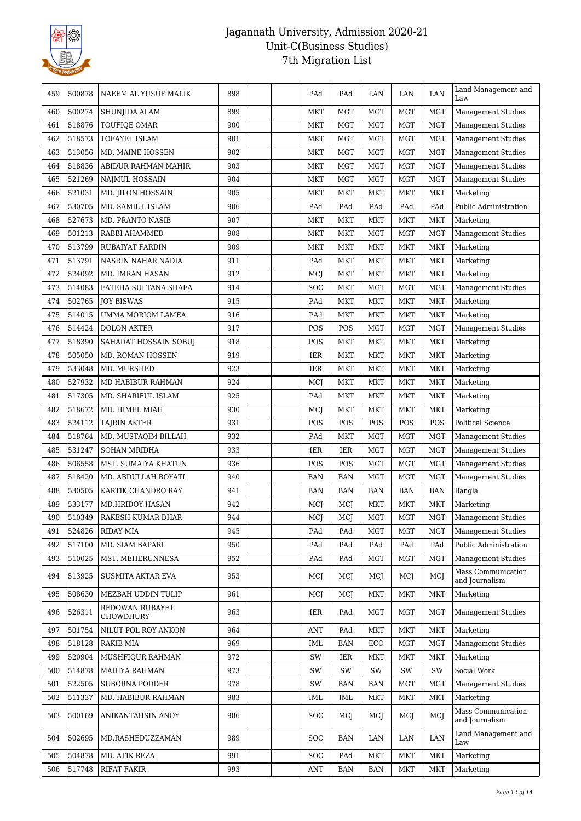

| 459 | 500878 | NAEEM AL YUSUF MALIK         | 898 | PAd            | PAd        | LAN        | LAN        | LAN        | Land Management and<br>Law           |
|-----|--------|------------------------------|-----|----------------|------------|------------|------------|------------|--------------------------------------|
| 460 | 500274 | SHUNJIDA ALAM                | 899 | <b>MKT</b>     | <b>MGT</b> | <b>MGT</b> | MGT        | <b>MGT</b> | <b>Management Studies</b>            |
| 461 | 518876 | TOUFIQE OMAR                 | 900 | MKT            | MGT        | <b>MGT</b> | <b>MGT</b> | <b>MGT</b> | <b>Management Studies</b>            |
| 462 | 518573 | <b>TOFAYEL ISLAM</b>         | 901 | <b>MKT</b>     | MGT        | <b>MGT</b> | <b>MGT</b> | <b>MGT</b> | <b>Management Studies</b>            |
| 463 | 513056 | MD. MAINE HOSSEN             | 902 | <b>MKT</b>     | <b>MGT</b> | MGT        | <b>MGT</b> | <b>MGT</b> | Management Studies                   |
| 464 | 518836 | ABIDUR RAHMAN MAHIR          | 903 | MKT            | <b>MGT</b> | <b>MGT</b> | <b>MGT</b> | <b>MGT</b> | <b>Management Studies</b>            |
| 465 | 521269 | <b>NAJMUL HOSSAIN</b>        | 904 | MKT            | MGT        | MGT        | <b>MGT</b> | <b>MGT</b> | <b>Management Studies</b>            |
| 466 | 521031 | MD. JILON HOSSAIN            | 905 | MKT            | MKT        | MKT        | <b>MKT</b> | <b>MKT</b> | Marketing                            |
| 467 | 530705 | MD. SAMIUL ISLAM             | 906 | PAd            | PAd        | PAd        | PAd        | PAd        | Public Administration                |
| 468 | 527673 | <b>MD. PRANTO NASIB</b>      | 907 | MKT            | <b>MKT</b> | <b>MKT</b> | <b>MKT</b> | <b>MKT</b> | Marketing                            |
| 469 | 501213 | RABBI AHAMMED                | 908 | MKT            | <b>MKT</b> | <b>MGT</b> | MGT        | <b>MGT</b> | <b>Management Studies</b>            |
| 470 | 513799 | RUBAIYAT FARDIN              | 909 | MKT            | MKT        | MKT        | <b>MKT</b> | <b>MKT</b> | Marketing                            |
| 471 | 513791 | NASRIN NAHAR NADIA           | 911 | PAd            | <b>MKT</b> | <b>MKT</b> | <b>MKT</b> | <b>MKT</b> | Marketing                            |
| 472 | 524092 | MD. IMRAN HASAN              | 912 | MCJ            | <b>MKT</b> | <b>MKT</b> | <b>MKT</b> | <b>MKT</b> | Marketing                            |
| 473 | 514083 | FATEHA SULTANA SHAFA         | 914 | SOC            | MKT        | <b>MGT</b> | MGT        | <b>MGT</b> | <b>Management Studies</b>            |
| 474 | 502765 | <b>JOY BISWAS</b>            | 915 | PAd            | <b>MKT</b> | MKT        | <b>MKT</b> | <b>MKT</b> | Marketing                            |
| 475 | 514015 | UMMA MORIOM LAMEA            | 916 | PAd            | MKT        | MKT        | <b>MKT</b> | <b>MKT</b> | Marketing                            |
| 476 | 514424 | <b>DOLON AKTER</b>           | 917 | POS            | POS        | <b>MGT</b> | <b>MGT</b> | <b>MGT</b> | <b>Management Studies</b>            |
| 477 | 518390 | SAHADAT HOSSAIN SOBUJ        | 918 | POS            | MKT        | MKT        | <b>MKT</b> | <b>MKT</b> | Marketing                            |
| 478 | 505050 | MD. ROMAN HOSSEN             | 919 | IER            | <b>MKT</b> | <b>MKT</b> | MKT        | <b>MKT</b> | Marketing                            |
| 479 | 533048 | MD. MURSHED                  | 923 | IER            | MKT        | <b>MKT</b> | <b>MKT</b> | <b>MKT</b> | Marketing                            |
| 480 | 527932 | MD HABIBUR RAHMAN            | 924 | MCJ            | <b>MKT</b> | <b>MKT</b> | <b>MKT</b> | <b>MKT</b> | Marketing                            |
| 481 | 517305 | MD. SHARIFUL ISLAM           | 925 | PAd            | <b>MKT</b> | <b>MKT</b> | MKT        | <b>MKT</b> | Marketing                            |
| 482 | 518672 | MD. HIMEL MIAH               | 930 | MCJ            | MKT        | MKT        | <b>MKT</b> | <b>MKT</b> | Marketing                            |
| 483 | 524112 | <b>TAJRIN AKTER</b>          | 931 | POS            | POS        | POS        | POS        | POS        | Political Science                    |
| 484 | 518764 | MD. MUSTAQIM BILLAH          | 932 | PAd            | <b>MKT</b> | MGT        | <b>MGT</b> | <b>MGT</b> | <b>Management Studies</b>            |
| 485 | 531247 | <b>SOHAN MRIDHA</b>          | 933 | IER            | IER        | MGT        | MGT        | <b>MGT</b> | Management Studies                   |
| 486 | 506558 | MST. SUMAIYA KHATUN          | 936 | POS            | POS        | <b>MGT</b> | <b>MGT</b> | <b>MGT</b> | <b>Management Studies</b>            |
| 487 | 518420 | MD. ABDULLAH BOYATI          | 940 | BAN            | <b>BAN</b> | <b>MGT</b> | <b>MGT</b> | <b>MGT</b> | Management Studies                   |
| 488 | 530505 | KARTIK CHANDRO RAY           | 941 | <b>BAN</b>     | <b>BAN</b> | BAN        | BAN        | <b>BAN</b> | Bangla                               |
| 489 | 533177 | <b>MD.HRIDOY HASAN</b>       | 942 | MCJ            | MCJ        | MKT        | <b>MKT</b> | <b>MKT</b> | Marketing                            |
| 490 | 510349 | RAKESH KUMAR DHAR            | 944 | MCJ            | MCJ        | MGT        | $\rm MGT$  | MGT        | <b>Management Studies</b>            |
| 491 | 524826 | RIDAY MIA                    | 945 | PAd            | PAd        | MGT        | MGT        | MGT        | <b>Management Studies</b>            |
| 492 | 517100 | MD. SIAM BAPARI              | 950 | PAd            | PAd        | PAd        | PAd        | PAd        | Public Administration                |
| 493 | 510025 | MST. MEHERUNNESA             | 952 | PAd            | PAd        | MGT        | <b>MGT</b> | MGT        | <b>Management Studies</b>            |
| 494 | 513925 | <b>SUSMITA AKTAR EVA</b>     | 953 | MCI            | MCI        | MCJ        | MCJ        | MCI        | Mass Communication<br>and Journalism |
| 495 | 508630 | MEZBAH UDDIN TULIP           | 961 | MCI            | MCI        | MKT        | MKT        | MKT        | Marketing                            |
| 496 | 526311 | REDOWAN RUBAYET<br>CHOWDHURY | 963 | IER            | PAd        | MGT        | MGT        | MGT        | <b>Management Studies</b>            |
| 497 | 501754 | NILUT POL ROY ANKON          | 964 | <b>ANT</b>     | PAd        | <b>MKT</b> | <b>MKT</b> | <b>MKT</b> | Marketing                            |
| 498 | 518128 | <b>RAKIB MIA</b>             | 969 | <b>IML</b>     | <b>BAN</b> | ECO        | <b>MGT</b> | <b>MGT</b> | <b>Management Studies</b>            |
| 499 | 520904 | MUSHFIQUR RAHMAN             | 972 | SW             | IER        | MKT        | MKT        | <b>MKT</b> | Marketing                            |
| 500 | 514878 | <b>MAHIYA RAHMAN</b>         | 973 | SW             | SW         | SW         | SW         | SW         | Social Work                          |
| 501 | 522505 | SUBORNA PODDER               | 978 | SW             | <b>BAN</b> | BAN        | <b>MGT</b> | <b>MGT</b> | <b>Management Studies</b>            |
| 502 | 511337 | MD. HABIBUR RAHMAN           | 983 | IML            | IML        | <b>MKT</b> | MKT        | <b>MKT</b> | Marketing                            |
| 503 | 500169 | ANIKANTAHSIN ANOY            | 986 | SOC            | MCI        | MCJ        | MCJ        | MCI        | Mass Communication<br>and Journalism |
| 504 | 502695 | MD.RASHEDUZZAMAN             | 989 | SOC            | BAN        | LAN        | LAN        | LAN        | Land Management and<br>Law           |
| 505 | 504878 | MD. ATIK REZA                | 991 | <b>SOC</b>     | PAd        | <b>MKT</b> | <b>MKT</b> | <b>MKT</b> | Marketing                            |
| 506 | 517748 | <b>RIFAT FAKIR</b>           | 993 | $\mathbf{ANT}$ | BAN        | BAN        | <b>MKT</b> | <b>MKT</b> | Marketing                            |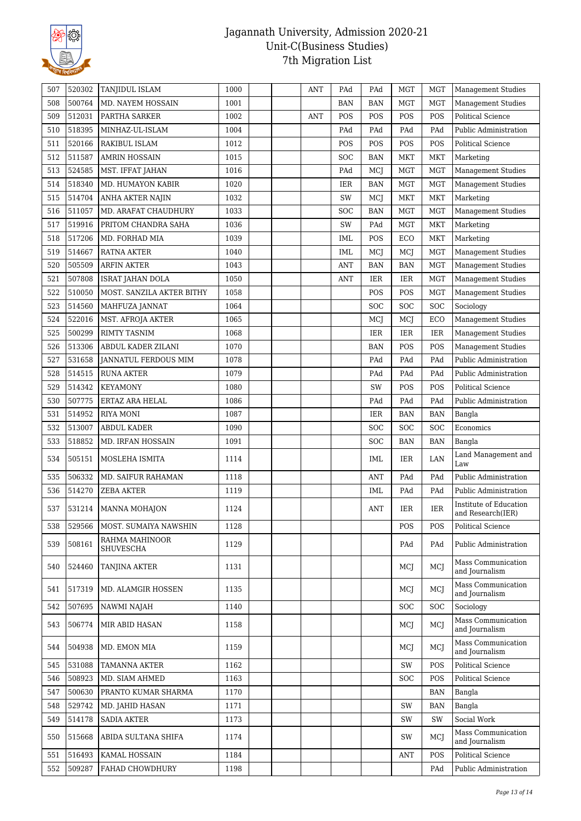

| 507 | 520302 | TANJIDUL ISLAM                     | 1000 |  | ANT        | PAd        | PAd        | MGT        | <b>MGT</b> | <b>Management Studies</b>                   |
|-----|--------|------------------------------------|------|--|------------|------------|------------|------------|------------|---------------------------------------------|
| 508 | 500764 | MD. NAYEM HOSSAIN                  | 1001 |  |            | <b>BAN</b> | <b>BAN</b> | MGT        | <b>MGT</b> | <b>Management Studies</b>                   |
| 509 | 512031 | PARTHA SARKER                      | 1002 |  | <b>ANT</b> | POS        | POS        | POS        | POS        | <b>Political Science</b>                    |
| 510 | 518395 | MINHAZ-UL-ISLAM                    | 1004 |  |            | PAd        | PAd        | PAd        | PAd        | Public Administration                       |
| 511 | 520166 | <b>RAKIBUL ISLAM</b>               | 1012 |  |            | POS        | POS        | POS        | POS        | <b>Political Science</b>                    |
| 512 | 511587 | <b>AMRIN HOSSAIN</b>               | 1015 |  |            | SOC        | <b>BAN</b> | MKT        | <b>MKT</b> | Marketing                                   |
| 513 | 524585 | MST. IFFAT JAHAN                   | 1016 |  |            | PAd        | MCJ        | MGT        | <b>MGT</b> | <b>Management Studies</b>                   |
| 514 | 518340 | MD. HUMAYON KABIR                  | 1020 |  |            | <b>IER</b> | BAN        | <b>MGT</b> | <b>MGT</b> | <b>Management Studies</b>                   |
| 515 | 514704 | ANHA AKTER NAJIN                   | 1032 |  |            | SW         | MCJ        | MKT        | <b>MKT</b> | Marketing                                   |
| 516 | 511057 | MD. ARAFAT CHAUDHURY               | 1033 |  |            | SOC        | <b>BAN</b> | MGT        | <b>MGT</b> | <b>Management Studies</b>                   |
| 517 | 519916 | PRITOM CHANDRA SAHA                | 1036 |  |            | SW         | PAd        | MGT        | <b>MKT</b> | Marketing                                   |
| 518 | 517206 | MD. FORHAD MIA                     | 1039 |  |            | IML        | POS        | ECO        | <b>MKT</b> | Marketing                                   |
| 519 | 514667 | RATNA AKTER                        | 1040 |  |            | IML        | MCJ        | MCJ        | <b>MGT</b> | <b>Management Studies</b>                   |
| 520 | 505509 | <b>ARFIN AKTER</b>                 | 1043 |  |            | <b>ANT</b> | <b>BAN</b> | <b>BAN</b> | <b>MGT</b> | <b>Management Studies</b>                   |
| 521 | 507808 | ISRAT JAHAN DOLA                   | 1050 |  |            | <b>ANT</b> | <b>IER</b> | <b>IER</b> | <b>MGT</b> | Management Studies                          |
| 522 | 510050 | MOST. SANZILA AKTER BITHY          | 1058 |  |            |            | POS        | POS        | <b>MGT</b> | <b>Management Studies</b>                   |
| 523 | 514560 | MAHFUZA JANNAT                     | 1064 |  |            |            | SOC        | <b>SOC</b> | SOC        | Sociology                                   |
| 524 | 522016 | MST. AFROJA AKTER                  | 1065 |  |            |            | MCJ        | MCJ        | ECO        | <b>Management Studies</b>                   |
| 525 | 500299 | <b>RIMTY TASNIM</b>                | 1068 |  |            |            | IER        | IER        | IER        | <b>Management Studies</b>                   |
| 526 | 513306 | ABDUL KADER ZILANI                 | 1070 |  |            |            | <b>BAN</b> | POS        | POS        | <b>Management Studies</b>                   |
| 527 | 531658 | JANNATUL FERDOUS MIM               | 1078 |  |            |            | PAd        | PAd        | PAd        | Public Administration                       |
| 528 | 514515 | <b>RUNA AKTER</b>                  | 1079 |  |            |            | PAd        | PAd        | PAd        | Public Administration                       |
| 529 | 514342 | <b>KEYAMONY</b>                    | 1080 |  |            |            | SW         | POS        | POS        | <b>Political Science</b>                    |
| 530 | 507775 | ERTAZ ARA HELAL                    | 1086 |  |            |            | PAd        | PAd        | PAd        | Public Administration                       |
| 531 | 514952 | <b>RIYA MONI</b>                   | 1087 |  |            |            | IER        | <b>BAN</b> | <b>BAN</b> | Bangla                                      |
| 532 | 513007 | ABDUL KADER                        | 1090 |  |            |            | SOC        | SOC        | SOC        | Economics                                   |
| 533 | 518852 | MD. IRFAN HOSSAIN                  | 1091 |  |            |            | SOC        | <b>BAN</b> | <b>BAN</b> | Bangla                                      |
| 534 | 505151 | MOSLEHA ISMITA                     | 1114 |  |            |            | IML        | IER        | LAN        | Land Management and<br>Law                  |
| 535 | 506332 | <b>MD. SAIFUR RAHAMAN</b>          | 1118 |  |            |            | ANT        | PAd        | PAd        | Public Administration                       |
| 536 | 514270 | <b>ZEBA AKTER</b>                  | 1119 |  |            |            | IML        | PAd        | PAd        | Public Administration                       |
| 537 | 531214 | <b>MANNA MOHAJON</b>               | 1124 |  |            |            | <b>ANT</b> | <b>IER</b> | <b>IER</b> | Institute of Education<br>and Research(IER) |
| 538 | 529566 | MOST. SUMAIYA NAWSHIN              | 1128 |  |            |            |            | POS        | POS        | <b>Political Science</b>                    |
| 539 | 508161 | RAHMA MAHINOOR<br><b>SHUVESCHA</b> | 1129 |  |            |            |            | PAd        | PAd        | Public Administration                       |
| 540 | 524460 | <b>TANJINA AKTER</b>               | 1131 |  |            |            |            | MCJ        | MCI        | Mass Communication<br>and Journalism        |
| 541 | 517319 | MD. ALAMGIR HOSSEN                 | 1135 |  |            |            |            | MCJ        | MCJ        | Mass Communication<br>and Journalism        |
| 542 | 507695 | <b>NAWMI NAJAH</b>                 | 1140 |  |            |            |            | <b>SOC</b> | <b>SOC</b> | Sociology                                   |
| 543 | 506774 | MIR ABID HASAN                     | 1158 |  |            |            |            | MCI        | MCI        | Mass Communication<br>and Journalism        |
| 544 | 504938 | MD. EMON MIA                       | 1159 |  |            |            |            | MCJ        | MCI        | Mass Communication<br>and Journalism        |
| 545 | 531088 | TAMANNA AKTER                      | 1162 |  |            |            |            | SW         | POS        | Political Science                           |
| 546 | 508923 | MD. SIAM AHMED                     | 1163 |  |            |            |            | <b>SOC</b> | POS        | <b>Political Science</b>                    |
| 547 | 500630 | PRANTO KUMAR SHARMA                | 1170 |  |            |            |            |            | <b>BAN</b> | Bangla                                      |
| 548 | 529742 | MD. JAHID HASAN                    | 1171 |  |            |            |            | SW         | <b>BAN</b> | Bangla                                      |
| 549 | 514178 | <b>SADIA AKTER</b>                 | 1173 |  |            |            |            | SW         | SW         | Social Work                                 |
| 550 | 515668 | ABIDA SULTANA SHIFA                | 1174 |  |            |            |            | SW         | MCJ        | <b>Mass Communication</b><br>and Journalism |
| 551 | 516493 | KAMAL HOSSAIN                      | 1184 |  |            |            |            | <b>ANT</b> | POS        | <b>Political Science</b>                    |
| 552 | 509287 | FAHAD CHOWDHURY                    | 1198 |  |            |            |            |            | PAd        | Public Administration                       |